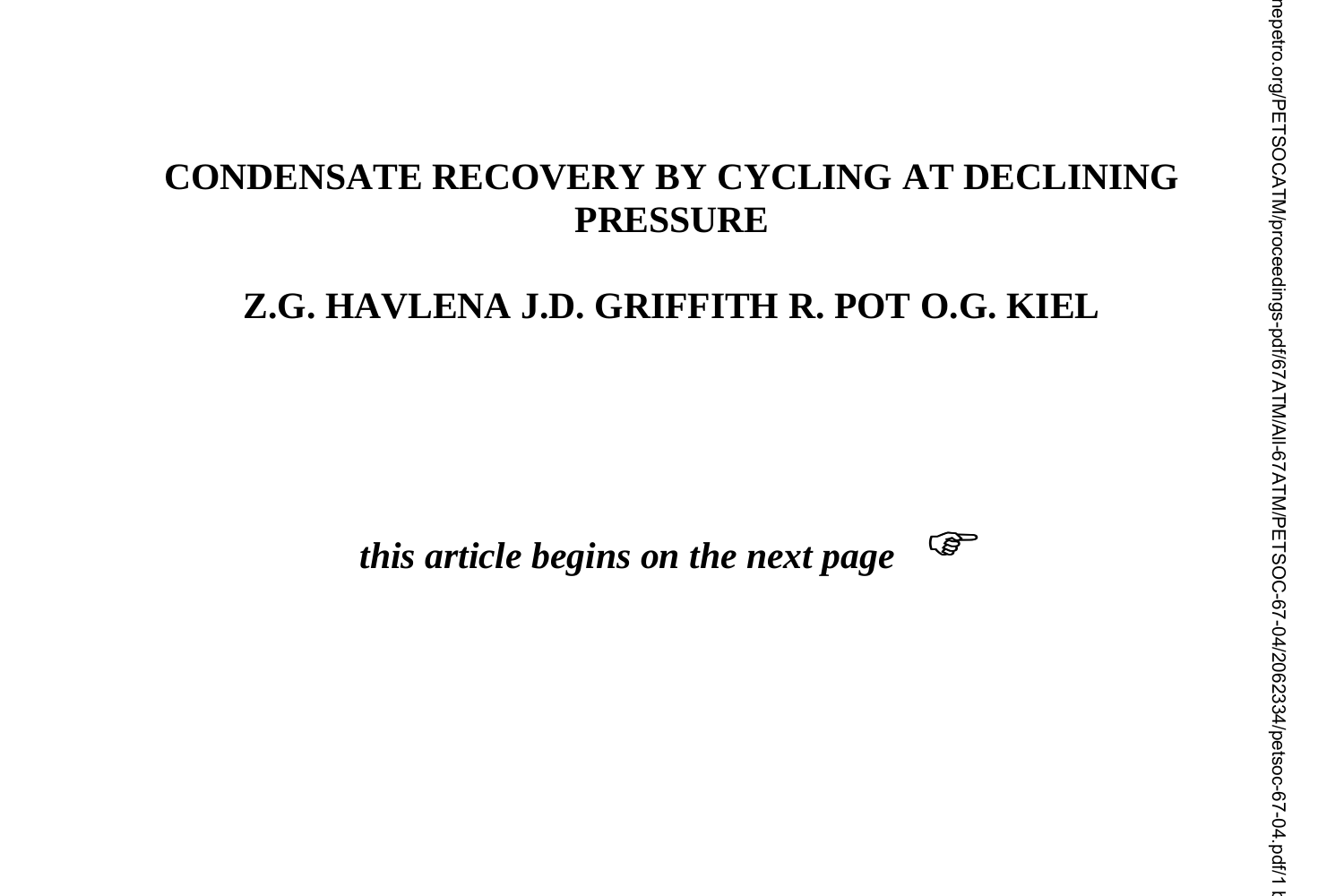# **CONDENSATE RECOVERY BY CYCLING AT DECLINING PRESSURE**

# **Z.G. HAVLENA J.D. GRIFFITH R. POT O.G. KIEL**

*this article begins on the next page*  $\mathbb{F}$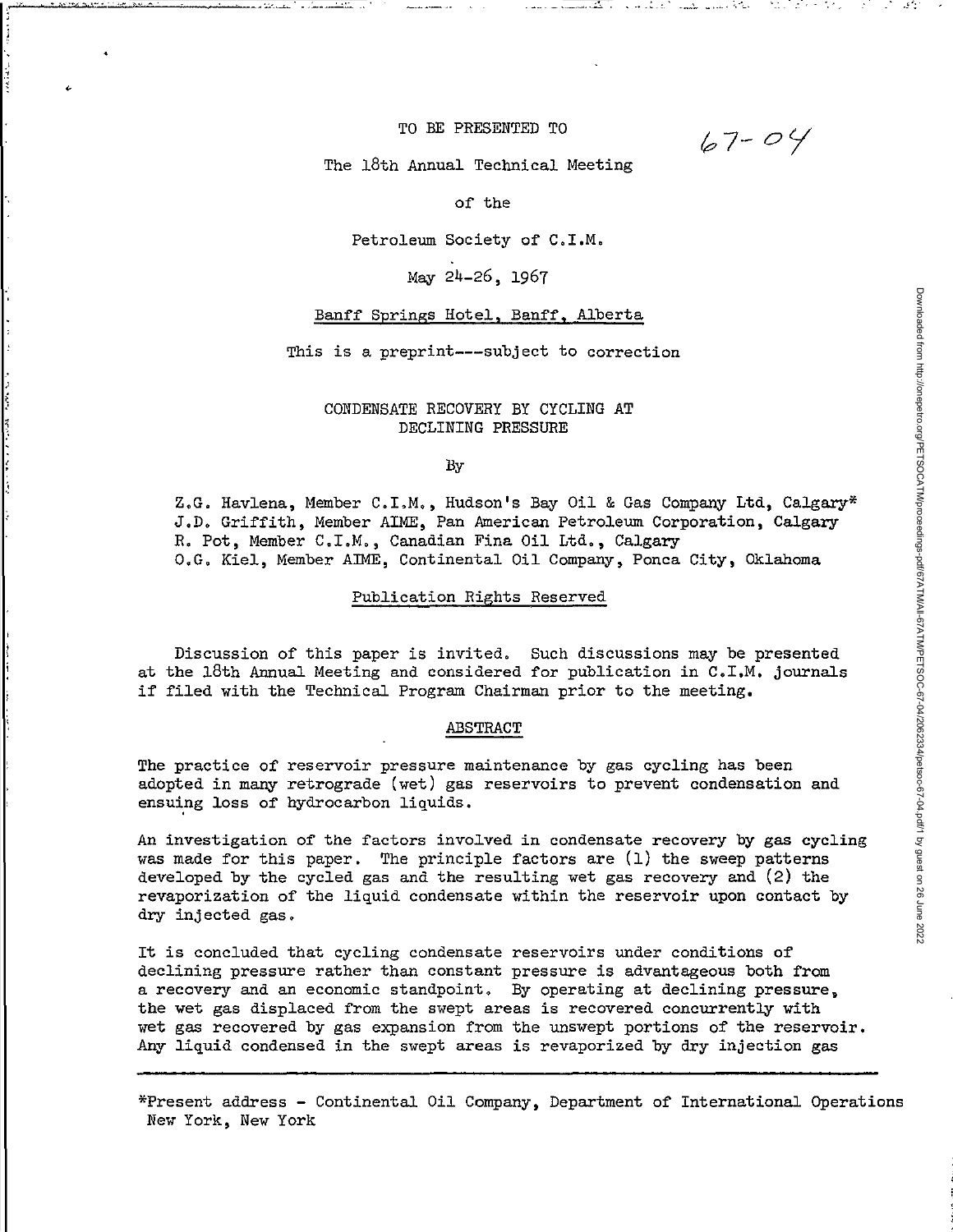TO BE PRESENTED TO

 $67 - 04$ 

**. \_\_':..** -, .:"; .

The 18th Annual Technical Meeting

of the

Petroleum Society of C.I.M.

May 24-26, 1967

## Banff Springs Hotel, Banff, Alberta

This is a preprint---subject to correction

# CONDENSATE RECOVERY BY CYCLING AT DECLINING PRESSURE

By

Z.G. Havlena, Member C.LM., Hudson's Bay Oil & Gas Company Ltd, Calgary\* J.D. Griffith, Member AIME, Pan American Petroleum Corporation, Calgary R. Pot, Member C.I.M., Canadian Fina Oil Ltd., Calgary O. G. Kiel, Member AIME, Continental Oil Company, Ponca City, Oklahoma

#### Publication Rights Reserved

Discussion of this paper is invited. Such discussions may be presented at the 18th Annual Meeting and considered for publication in C.I.M. journals if filed with the Technical Program Chairman prior to the meeting.

# ABSTRACT

The practice of reservoir pressure maintenance by gas cycling has been adopted in many retrograde (wet) gas reservoirs to prevent condensation and ensuing loss of hydrocarbon liquids.

An investigation of the factors involved in condensate recovery by gas cycling was made for this paper. The principle factors are (1) the sweep patterns developed by the cycled gas and the resulting wet gas recovery and (2) the revaporization of the liquid condensate within the reservoir upon contact by dry injected gas.

It is concluded that cycling condensate reservoirs under conditions of declining pressure rather than constant pressure is advantageous both from a recovery and an economic standpoint. By operating at declining pressure, the wet gas displaced from the swept areas is recovered concurrently with wet gas recovered by gas expansion from the unswept portions of the reservoir. Any liquid condensed in the swept areas is revaporized by dry injection gas

\*Present address - Continental Oil Company, Department of International Operations New York, New York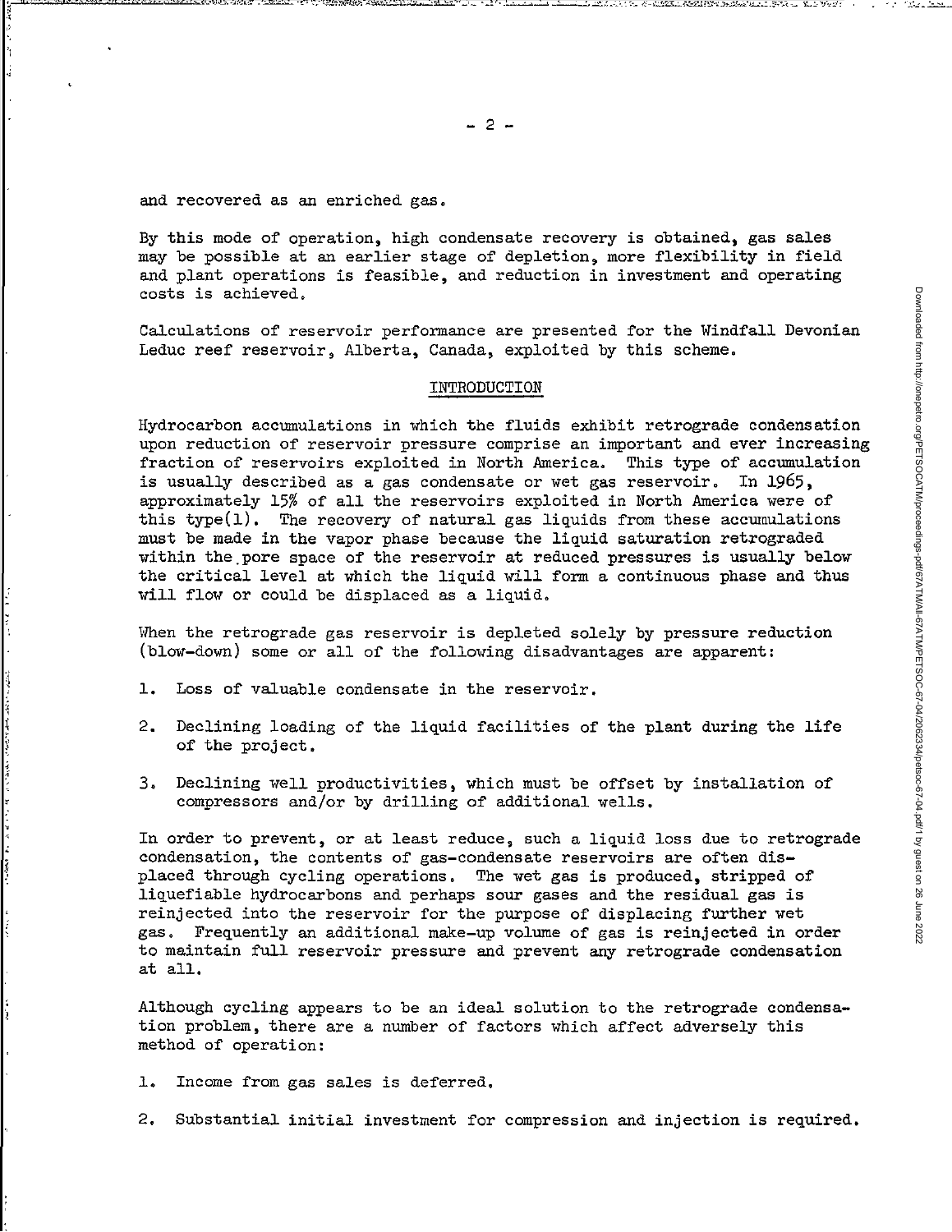.;

j

かんきょう スインス・ファイン しゅうしょう きゅうしょう アイ・ファール

By this mode of operation, high condensate recovery is obtained, gas sales may be possible at an earlier stage of depletion, more flexibility in field and plant operations is feasible, and reduction in investment and operating costs is achieved.

Calculations of reservoir performance are presented for the Windfall Devonian Leduc reef reservoir, Alberta, Canada, exploited by this scheme.

# INTRODUCTION

Hydrocarbon accumulations in which the fluids exhibit retrograde condensation upon reduction of reservoir pressure comprise an important and ever increasing fraction of reservoirs exploited in North America. This type of accumulation is usually described as a gas condensate or wet gas reservoir. In 1965, approximately 15% of all the reservoirs exploited in North America were of this type(l). The recovery of natural gas liquids from these accumulations must be made in the vapor phase because the liquid saturation retrograded within the.pore space of the reservoir at reduced pressures is usually below the critical level at which the liquid will form a continuous phase and thus will flow or could be displaced as a liquid.

When the retrograde gas reservoir is depleted solely by pressure reduction (blow-down) some or all of the following disadvantages are apparent:

- 1. Loss of valuable condensate in the reservoir.
- 2. Declining loading of the liquid facilities of the plant during the life of the project.
- 3. Declining well productivities, which must be offset by installation of compressors and/or by drilling of additional wells.

In order to prevent, or at least reduce, such a liquid loss due to retrograde condensation, the contents of gas-condensate reservoirs are often displaced through cycling operations. The wet gas is produced, stripped of liquefiable hydrocarbons and perhaps sour gases and the residual gas is reinjected into the reservoir for the purpose of displacing further wet gas. Frequently an additional make-up volume of gas is reinjected in order to maintain full reservoir pressure and prevent any retrograde condensation at all.

Although cycling appears to be an ideal solution to the retrograde condensation problem, there are a number of factors which affect adversely this method of operation:

1. Income from gas sales is deferred.

2. Substantial initial investment for compression and injection is required.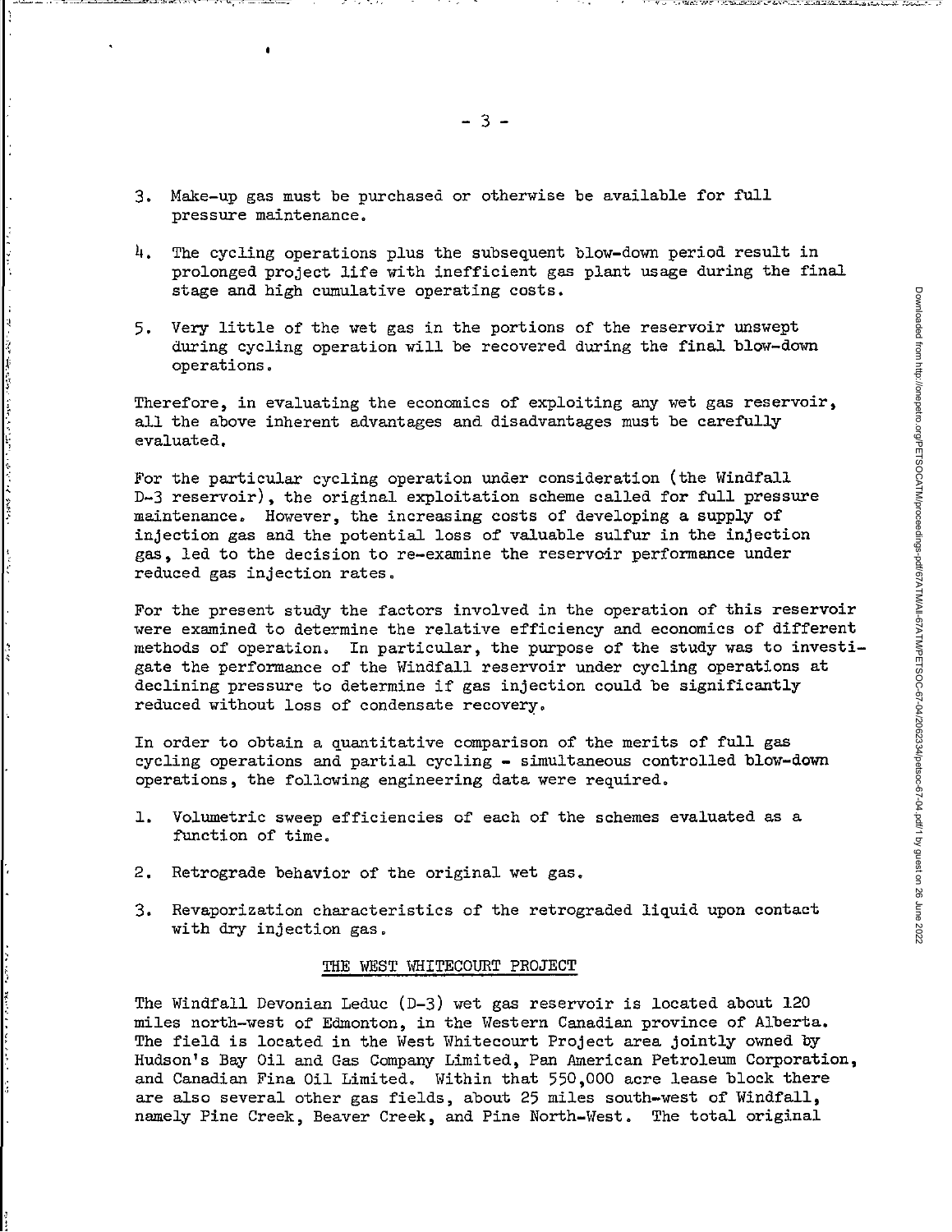- 3. Make-up gas must be purchased or otherwise be available for full pressure maintenance.
- 4. The cycling operations plus the subsequent blow-down period result in prolonged project life with inefficient gas plant usage during the final stage and high cumulative operating costs.
- 5. Very little of the wet gas in the portions of the reservoir unswept during cycling operation will be recovered during the final blow-down operations.

Therefore, in evaluating the economics of exploiting any wet gas reservoir, all the above inherent advantages and disadvantages must be carefully evaluated.

For the particular cycling operation under consideration (the Windfall D-3 reservoir), the original exploitation scheme called for full pressure maintenance. However, the increasing costs of developing a supply of injection gas and the potential loss of valuable sulfur in the injection gas, led to the decision to re-examine the reservoir performance under reduced gas injection rates.

For the present study the factors involved in the operation of this reservoir *were* examined to determine the relative efficiency and economics of different methods of operation. In particular, the purpose of the study was to investigate the performance of the Windfall reservoir under cycling operations at declining pressure to determine if gas injection could be significantly reduced without loss of condensate recovery.

In order to obtain a quantitative comparison of the merits of full gas cycling operations and partial cycling - simultaneous controlled blow-down operations, the following engineering data *were* required.

- 1. Volumetric sweep efficiencies of each of the schemes evaluated as a function of time.
- 2. Retrograde behavior of the original wet gas.

.'

はっしんち おすさびそう どうぎょうじほう てんそうしゃ めをさく

3. Revaporization characteristics of the retrograded liquid upon contact with dry injection gas.

#### THE WEST WHITECOURT PROJECT

The Windfall Devonian Leduc (D-3) wet gas reservoir is located about 120 miles north-west of Edmonton, in the Western Canadian province of Alberta. The field is located in the West Whitecourt Project area jointly owned by Hudson's Bay Oil and Gas Company Limited, Pan American Petroleum Corporation, and Canadian Fina Oil Limited. Within that 550,000 acre lease block there are also several other gas fields, about 25 miles south-west of Windfall, namely Pine Creek, Beaver Creek, and Pine North-West. The total original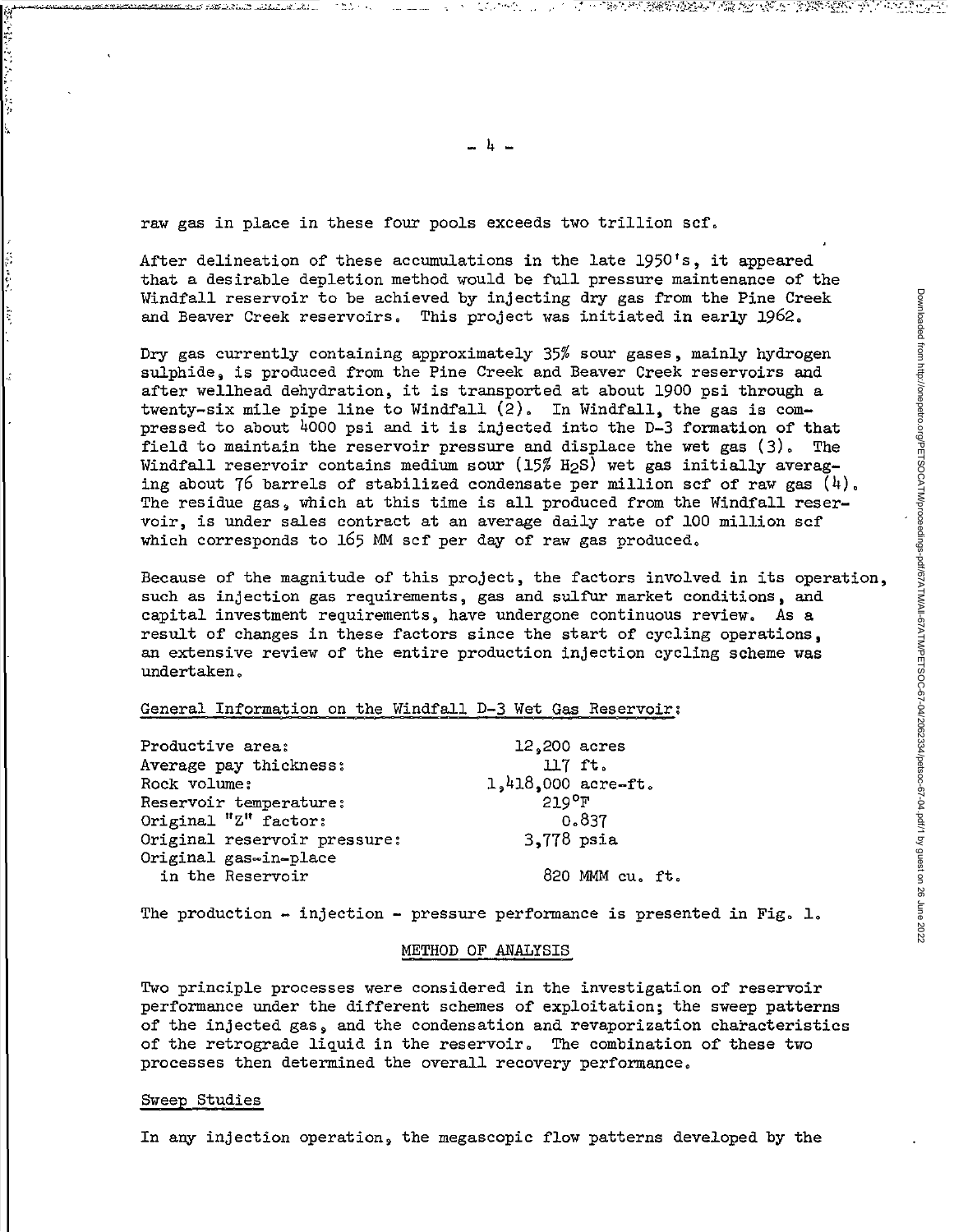raw gas in place in these four pools exceeds two trillion scf.

After delineation of these accumulations in the late 1950's, it appeared that a desirable depletion method would be full pressure maintenance of the Windfall reservoir to be achieved by injecting dry gas from the Pine Creek and Beaver Creek reservoirs. This project was initiated in early 1962.

Dry gas currently containing approximately 35% sour gases, mainly hydrogen sulphide, is produced from the Pine Creek and Beaver Creek reservoirs and after wellhead dehydration, it is transported at about <sup>1900</sup> psi through <sup>a</sup> twenty-six mile pipe line to Windfall (2). In Windfall, the gas is compressed to about  $4000$  psi and it is injected into the D-3 formation of that  $file$  do naintain the reservoir pressure and displace the wet gas  $(3)$ . The field to maintain the reservoir pressure and displace the wet gas  $(3)$ . Windfall reservoir contains medium sour (15% H<sub>2</sub>S) wet gas initially averaging about 76 barrels of stabilized condensate per million scf of raw gas  $(4)$ . The residue gas, which at this time is all produced from the Windfall reservoir, is under sales contract at an average daily rate of 100 million scf which corresponds to 165 MM scf per day of raw gas produced.

Because of the magnitude of this project, the factors involved in its operation, such as injection gas requirements, gas and sulfur market conditions, and capital investment requirements, have undergone continuous review. As a result of changes in these factors since the start of cycling operations, an extensive review of the entire production injection cycling scheme was undertaken.

# General Information on the Windfall D-3 Wet Gas Reservoir:

| Productive area:             | $12,200$ acres       |
|------------------------------|----------------------|
| Average pay thickness:       | $117$ ft.            |
| Rock volume:                 | $1,418,000$ acre-ft. |
| Reservoir temperature:       | $219$ °F             |
| Original "Z" factor:         | 0.837                |
| Original reservoir pressure: | 3,778 psia           |
| Original gas-in-place        |                      |
| in the Reservoir             | 820 MMM cu. ft.      |
|                              |                      |

The production  $-$  injection  $-$  pressure performance is presented in Fig. 1.

# METHOD OF ANALYSIS

Two principle processes were considered in the investigation of reservoir performance under the different schemes of exploitation; the sweep patterns of the injected gas, and the condensation and revaporization characteristics of the retrograde liquid in the reservoir. The combination of these two processes then determined the overall recovery performance.

# Sweep Studies

'."

:'.

**;.** .

In any injection operation, the megascopic flow patterns developed by the

**BASHAS** 

A MARINA ANG PANGANG PANG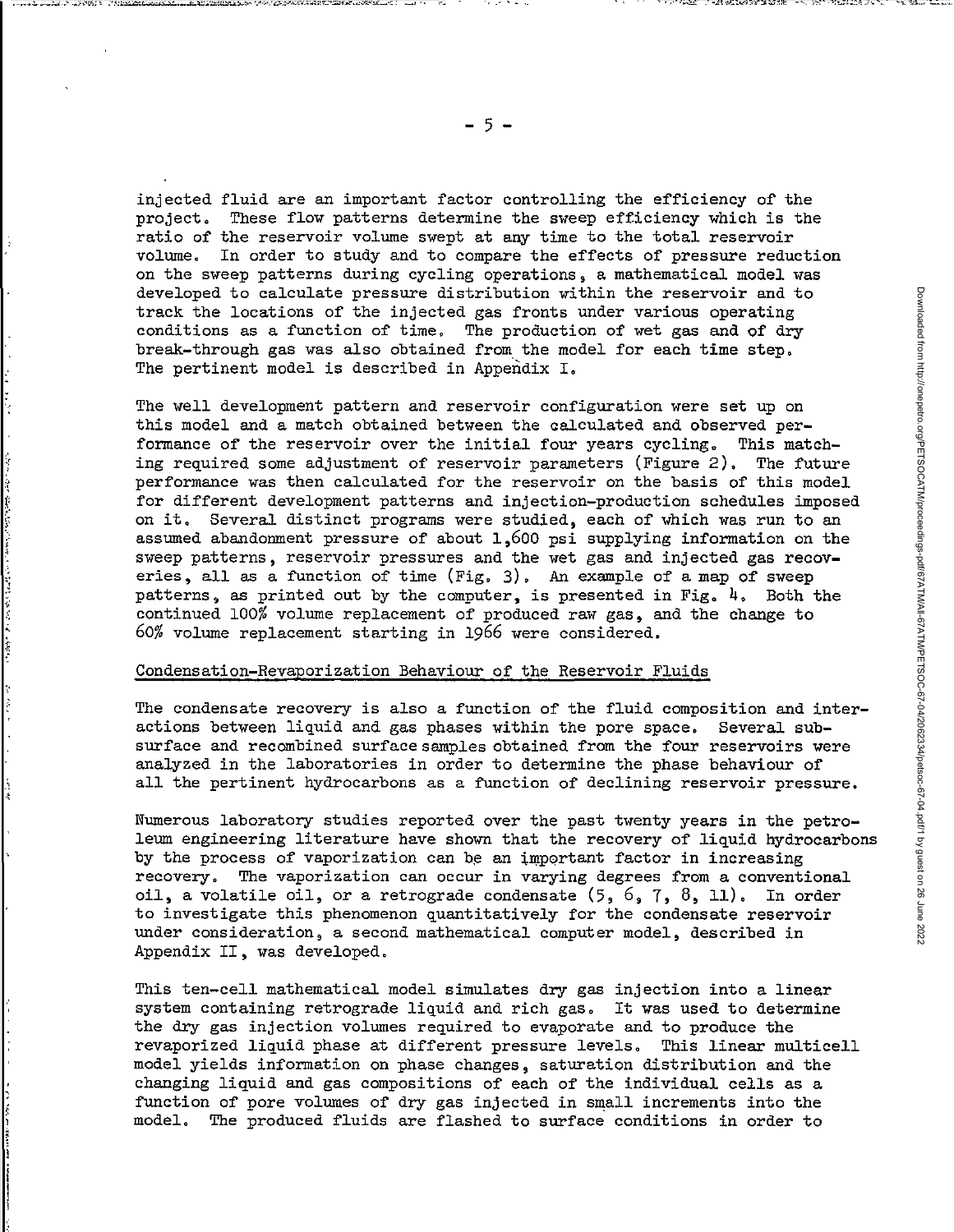injected fluid are an important factor controlling the efficiency of the project. These flow patterns determine the sweep efficiency which is the ratio of the reservoir volume swept at any time to the total reservoir volume. In order to study and to compare the effects of pressure reduction on the sweep patterns during cycling operations, a mathematical model was developed to calculate pressure distribution within the reservoir and to track the locations of the injected gas fronts under various operating conditions as a function of time. The production of wet gas and of dry break-through gas was also obtained from the model for each time step. The pertinent model is described in Appendix I.

The well development pattern and reservoir configuration were set up on this model and a match obtained between the calculated and observed performance of the reservoir over the initial four years cycling. This match-<br>ing required some adjustment of reservoir parameters (Figure 2). The future ing required some adjustment of reservoir parameters (Figure 2). performance was then calculated for the reservoir on the basis of this model for different development patterns and injection-production schedules imposed on it. Several distinct programs were studied, each of which was run to an assumed abandonment pressure of about 1,600 psi supplying information on the sweep patterns, reservoir pressures and the wet gas and injected gas recoveries, all as a function of time (Fig. 3). An example of a map of sweep patterns, as printed out by the computer, is presented in Fig.  $\lambda_i$ . Both the continued 100% volume replacement of produced raw gas, and the change to 60% volume replacement starting in 1966 were considered.

# Condensation-Revaporization Behaviour of the Reservoir Fluids

となるとなる 電気を与える くるまん こうせき こうしゃ 大家とし

The condensate recovery is also a function of the fluid composition and interactions between liquid and gas phases within the pore space. Several subsurface and recombined surface samples obtained from the four reservoirs were analyzed in the laboratories in order to determine the phase behaviour of all the pertinent hydrocarbons as a function of declining reservoir pressure.

Numerous laboratory studies reported over the past twenty years in the petroleum engineering literature have shown that the recovery of liquid hydrocarbons by the process of vaporization can be an important factor in increasing recovery. The vaporization can occur in varying degrees from a conventional oil, a volatile oil, or a retrograde condensate (5, 6, 7, 8, 11). In order to investigate this phenomenon quantitatively for the condensate reservoir under consideration, a second mathematical computer model, described in Appendix II, was developed.

This ten-cell mathematical model simulates dry gas injection into a linear system containing retrograde liquid and rich gas. It was used to determine the dry gas injection volumes required to evaporate and to produce the revaporized liquid phase at different pressure levels. This linear multicell model yields information on phase changes, saturation distribution and the changing liquid and gas compositions of each of the individual cells as a function of pore volumes of dry gas injected in small increments into the model. The produced fluids are flashed to surface conditions in order to

 $\cdot$  .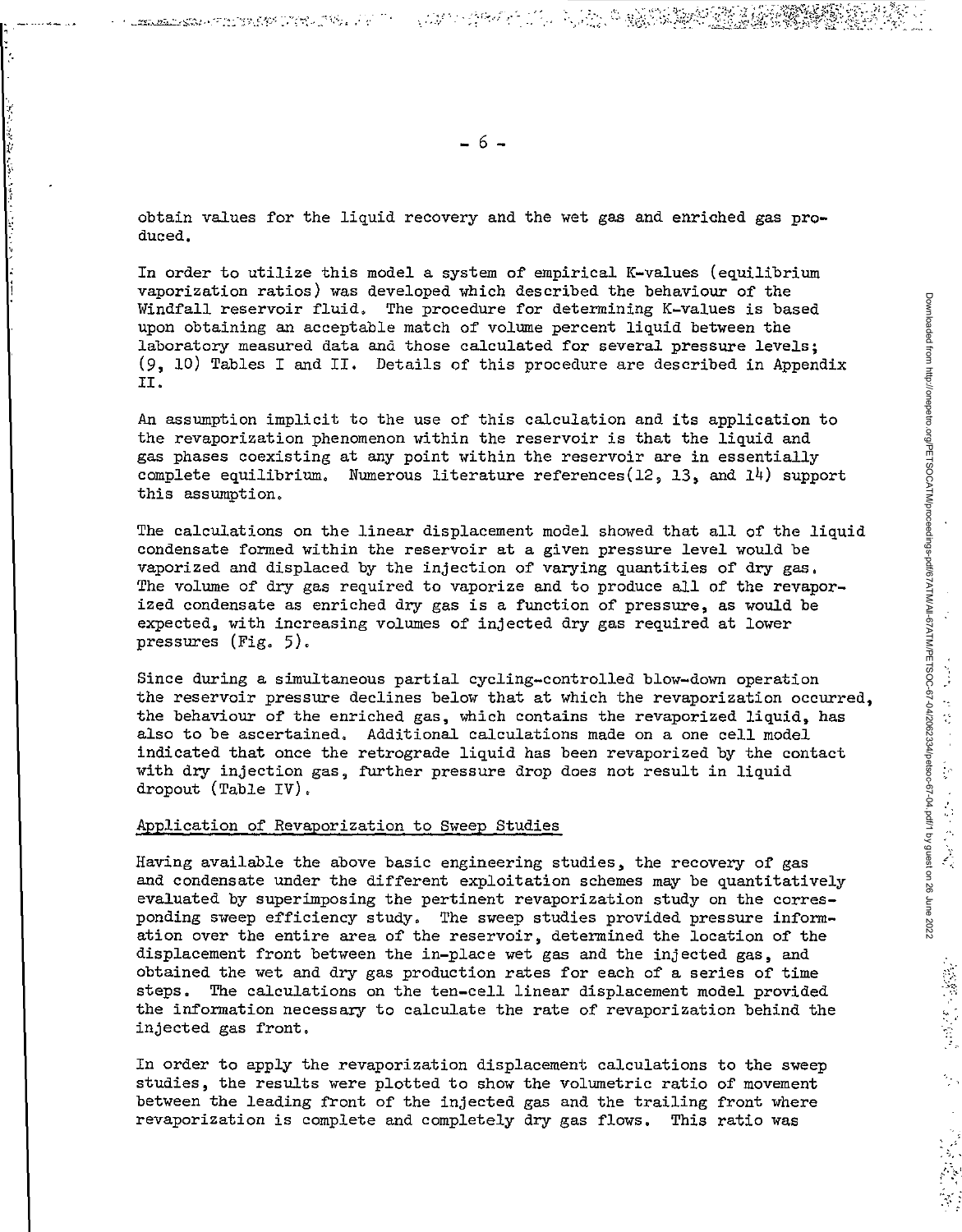'"', '

 $\ddot{\phantom{a}}$ 

 $\label{eq:main} \underbrace{\text{non-convex}}_{\text{non-convex}} \text{non-convex} \text{non-convex} \text{non-convex} \text{non-convex} \text{non-convex} \text{non-convex} \text{non-convex} \text{non-convex} \text{non-convex} \text{non-convex} \text{non-convex} \text{non-convex} \text{non-convex} \text{non-convex} \text{non-convex} \text{non-convex} \text{non-convex} \text{non-convex} \text{non-convex} \text{non-convex} \text{non-convex} \text{non-convex} \text{non-convex} \text{non-convex} \$ 

, .

アープン かんじょう かんじょう アイス・アール

obtain values for the liquid recovery and the wet gas and enriched gas produced.

In order to utilize this model a system of empirical K-values (equilibrium vaporization ratios) was developed which described the behaviour of the Windfall reservoir fluid. The procedure for determining K-values is based upon obtaining an acceptable match of volume percent liquid between the laboratory measured data and those calculated for several pressure levels; (9, 10) Tables I and II. Details of this procedure are described in Appendix II.

An assumption implicit to the use of this calculation and its application to the revaporization phenomenon within the reservoir is that the liquid and gas phases coexisting at any point within the reservoir are in essentially complete equilibrium. Numerous literature references(12, 13, and 14) support this assumption.

The calculations on the linear displacement model showed that all of the liquid condensate formed within the reservoir at a given pressure level would be vaporized and displaced by the injection of varying quantities of dry gas. The volume of dry gas required to vaporize and to produce all of the revaporized condensate as enriched dry gas is a function of pressure, as would be expected, with increasing volumes of injected dry gas required at lower pressures (Fig. 5).

Since during a simultaneous partial cycling-controlled blow-down operation the reservoir pressure declines below that at which the revaporization occurred, the behaviour of the enriched gas, which contains the revaporized liquid, has also to be ascertained. Additional calculations made on a one cell model indicated that once the retrograde liquid has been revaporized by the contact with dry injection gas, further pressure drop does not result in liquid dropout (Table IV).

# Application of Revaporization to Sweep Studies

Having available the above basic engineering studies, the recovery of gas and condensate under the different exploitation schemes may be quantitatively evaluated by superimposing the pertinent revaporization study on the corresponding sweep efficiency study. The sweep studies provided pressure information over the entire area of the reservoir, determined the location of the displacement front between the in-place wet gas and the injected gas, and obtained the wet and dry gas production rates for each of a series of time steps. The calculations on the ten-cell linear displacement model provided the information necessary to calculate the rate of revaporization behind the injected gas front.

In order to apply the revaporization displacement calculations to the sweep studies, the results were plotted to show the volumetric ratio of movement between the leading front of the injected gas and the trailing front where revaporization is complete and completely dry gas flows. This ratio was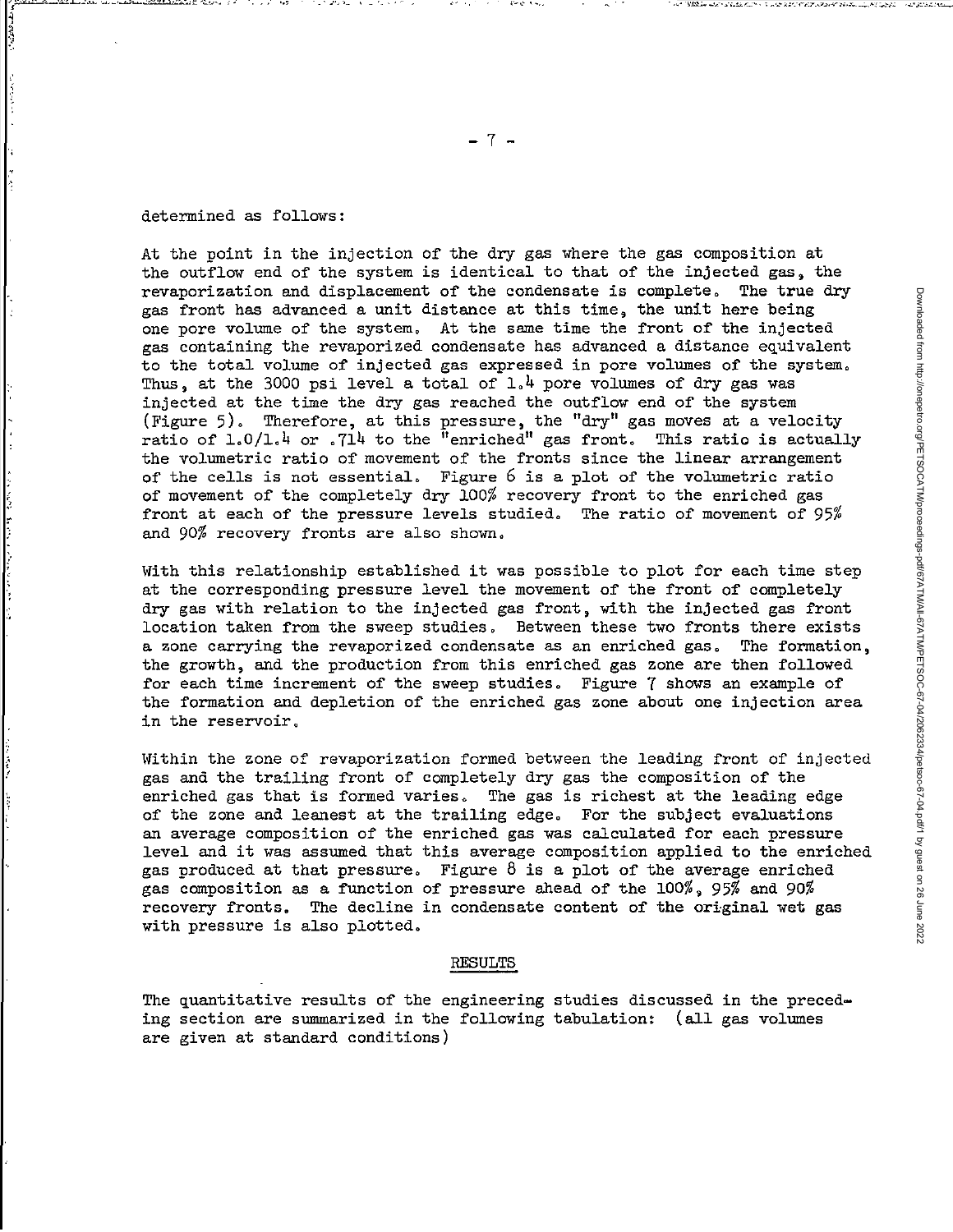# determined as follows:

**.",**

'l~~~--'=.L:.;:J..>-- '\_L\_'~ "~.,, ......:.:~ ',-",,-.

 $\frac{1}{2}$ j ~~

> At the point in the injection of the dry gas where the gas composition at the outflow end of the system is identical to that of the injected gas, the revaporization and displacement of the condensate is complete. The true dry gas front has advanced a unit distance at this time, the unit here being one pore volume of the system. At the same time the front of the injected gas containing the revaporized condensate has advanced a distance equivalent to the total volume of injected gas expressed in pore volumes of the system. Thus, at the 3000 psi level a total of  $1.4$  pore volumes of dry gas was injected at the time the dry gas reached the outflow end of the system (Figure 5). Therefore, at this pressure, the "dry" gas moves at a velocity ratio of  $1.0/1.4$  or .714 to the "enriched" gas front. This ratio is actually the volumetric ratio of movement of the fronts since the linear arrangement of the cells is not essential. Figure 6 is a plot of the volumetric ratio of movement of the completely dry 100% recovery front to the enriched gas front at each of the pressure levels studied. The ratio of movement of 95% and 90% recovery fronts are also shown.

With this relationship established it was possible to plot for each time step at the corresponding pressure level the movement of the front of completely dry gas with relation to the injected gas front, with the injected gas front location taken from the sweep studies. Between these two fronts there exists a zone carrying the revaporized condensate as an enriched gas. The formation, the growth, and the production from this enriched gas zone are then followed for each time increment of the sweep studies. Figure 7 shows an example of the formation and depletion of the enriched gas zone about one injection area in the reservoir.

Within the zone of revaporization formed between the leading front of injected gas and the trailing front of completely dry gas the composition of the enriched gas that is formed varies. The gas is richest at the leading edge of the zone and leanest at the trailing edge. For the subject evaluations an average composition of the enriched gas was calculated for each pressure level and it was assumed that this average composition applied to the enriched gas produced at that pressure. Figure 8 is a plot of the average enriched gas composition as a function of pressure ahead of the 100%, 95% and 90% recovery fronts. The decline in condensate content of the original wet gas with pressure is also plotted.

# RESULTS

The quantitative results of the engineering studies discussed in the preceding section are summarized in the following tabulation: (all gas volumes are given at standard conditions)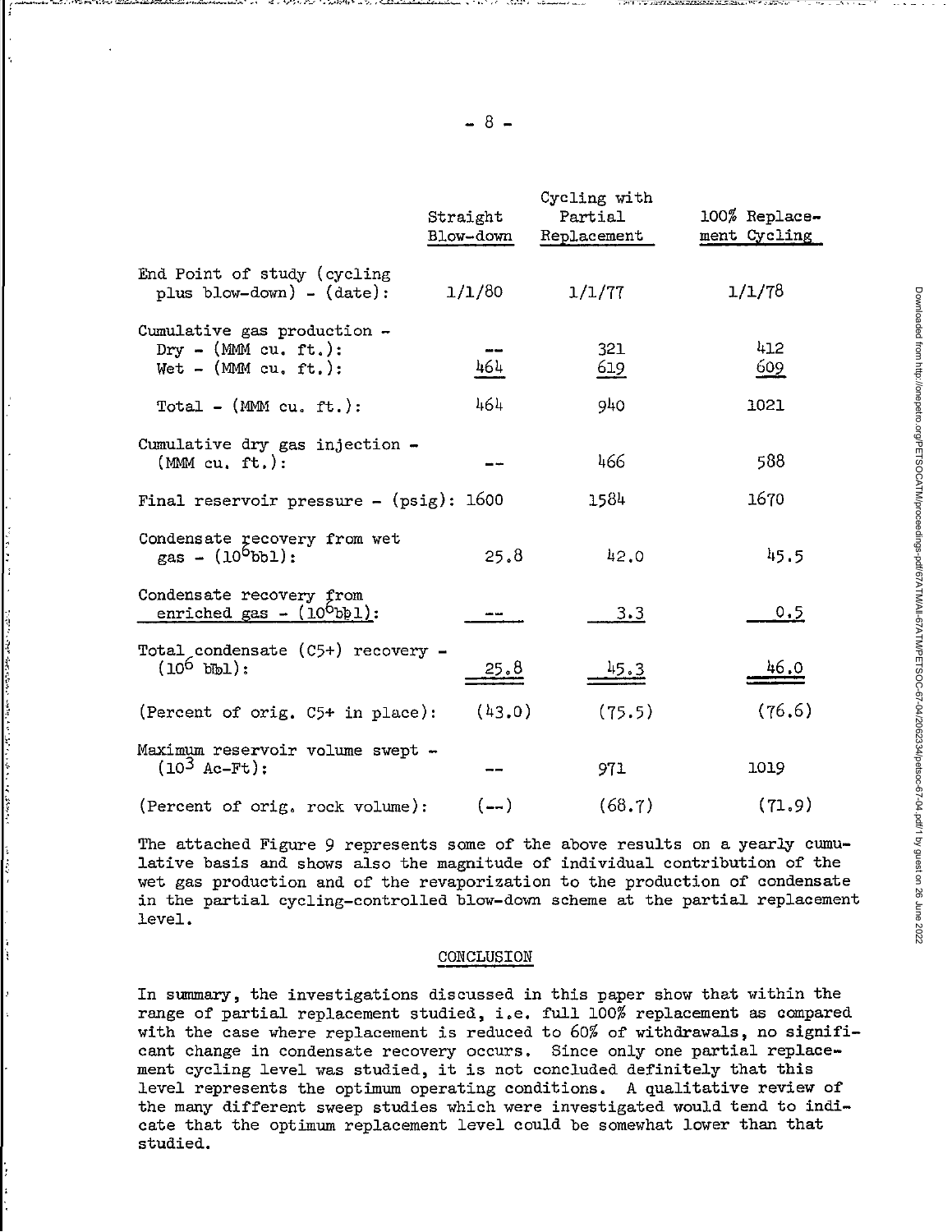|                                                                                         | Straight<br>Blow-down | Cycling with<br>Partial<br>Replacement | 100% Replace-<br>ment Cycling |
|-----------------------------------------------------------------------------------------|-----------------------|----------------------------------------|-------------------------------|
| End Point of study (cycling<br>plus blow-down) - $(\text{date})$ :                      | 1/1/80                | 1/1/77                                 | 1/1/78                        |
| Cumulative gas production -<br>$\text{Dry }$ - (MMM cu. ft.):<br>Wet $-$ (MMM cu, ft.): | 464                   | 321<br>619                             | 412<br><u>609</u>             |
| Total - $(MM \text{ cu. ft.})$ :                                                        | 464                   | 940                                    | 1021                          |
| Cumulative dry gas injection -<br>$(MM \text{ cu. ft.})$ :                              |                       | 466                                    | 588                           |
| Final reservoir pressure $-$ (psig): 1600                                               |                       | 1584                                   | 1670                          |
| Condensate recovery from wet<br>$\text{gas}$ - $(10^6 \text{bb1})$ :                    | 25.8                  | 42.0                                   | 45.5                          |
| Condensate recovery from<br>enriched gas - $(10^6$ bb <sub>1</sub> ):                   |                       | 3.3                                    | 0.5                           |
| Total condensate (C5+) recovery -<br>$(10^6$ bibl):                                     | <u> 25.8</u>          | 15.3                                   | 46.0                          |
| (Percent of orig. C5+ in place):                                                        | (43.0)                | (75.5)                                 | (76.6)                        |
| Maximum reservoir volume swept -<br>$(10^3 \text{ Ac-Ft})$ :                            |                       | 971                                    | 1019                          |
| (Percent of orig. rock volume):                                                         | $(--)$                | (68.7)                                 | (71.9)                        |

The attached Figure 9 represents some of the above results on a yearly cumulative basis and shows also the magnitude of individual contribution of the wet gas production and of the revaporization to the production of condensate in the partial cycling-controlled blow-down scheme at the partial replacement level.

# CONCLUSION

In summary, the investigations discussed in this paper show that within the range of partial replacement studied, i.e. full 100% replacement as compared with the case where replacement is reduced to 60% of withdrawals, no significant change in condensate recovery occurs. Since only one partial replacement cycling level was studied, it is not concluded definitely that this level represents the optimum operating conditions. A qualitative review of the many different sweep studies which were investigated would tend to indicate that the optimum replacement level could be somewhat lower than that studied.

,\_~.\_~. '....\,.;..,.:.....;'~ •.- , .......... i'l.-':.;~,.",;:..\_...: ... '~, ~\_·..·,•. r".-· ·.-,.•.,'I.> .• ·.·.,·:...<..:~~.'-,.;..'-, ',,'.' .:;.';',

;

c '. ,.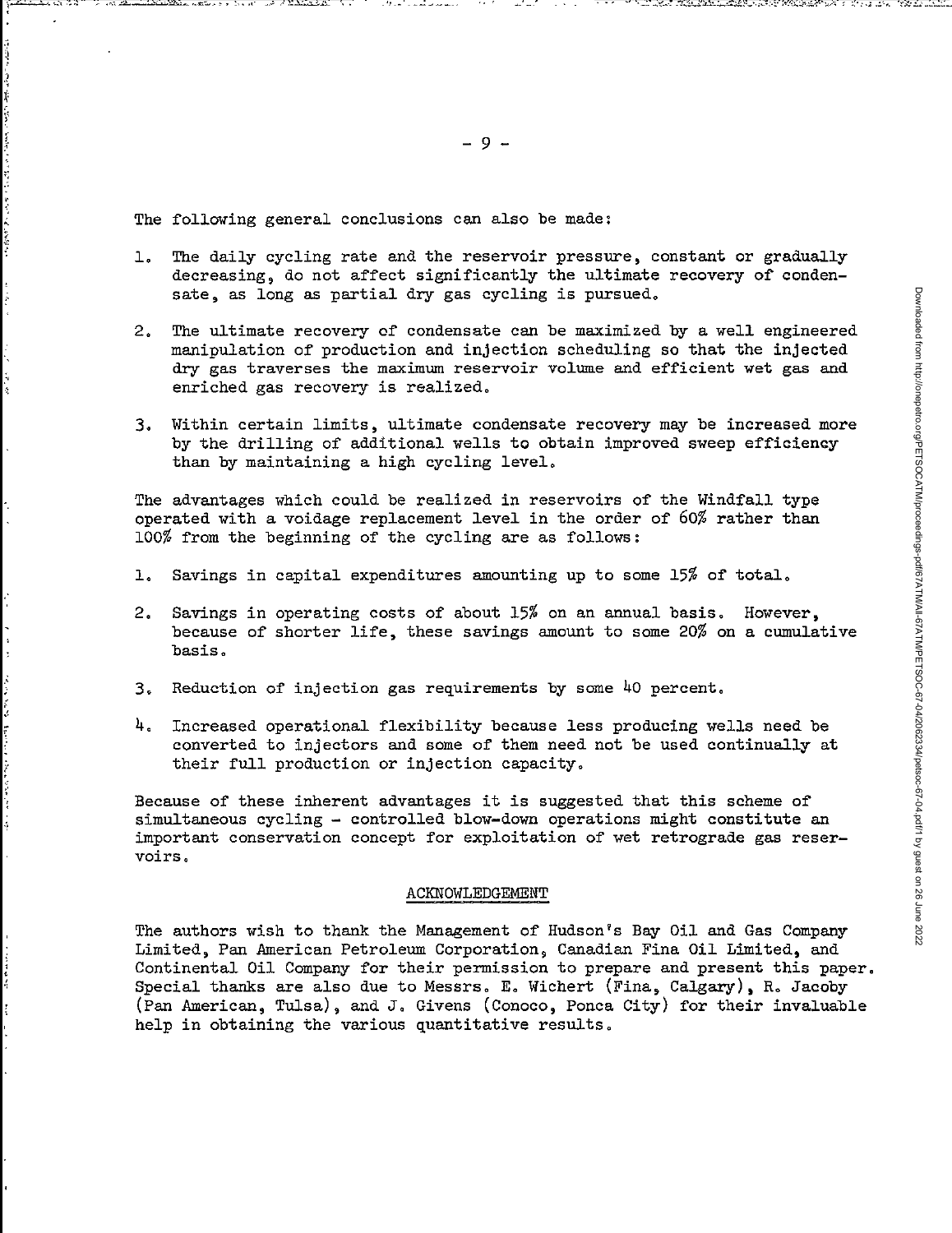The following general conclusions can also be made:

" "

"

ï

- I, The daily cycling rate and the reservoir pressure, constant or gradually decreasing, do not affect significantly the ultimate recovery of condensate, as long as partial dry gas cycling is pursued,
- 2, The ultimate recovery of condensate can be maximized by a well engineered manipulation of production and injection scheduling so that the injected dry gas traverses the maximum reservoir volume and efficient wet gas and enriched gas recovery is realized,
- 3, Within certain limits, ultimate condensate recovery may be increased more by the drilling of additional wells to obtain improved sweep efficiency than by maintaining a high cycling level,

The advantages which could be realized in reservoirs of the Windfall type operated with a voidage replacement level in the order of 60% rather than 100% from the beginning of the cycling are as follows:

- <sup>L</sup> Savings in capital expenditures amounting up to some 15% of total,
- 2, Savings in operating costs of about 15% on an annual basis, However, because of shorter life, these savings amount to some 20% on a cumulative basis <sup>0</sup>
- 3, Reduction of injection gas requirements by some 40 percent,
- 4, Increased operational flexibility because less producing wells need be converted to injectors and some of them need not be used continually at their full production or injection capacity,

Because of these inherent advantages it is suggested that this scheme of simultaneous cycling - controlled blow-down operations might constitute an important conservation concept for exploitation of wet retrograde gas reser $voirs.$ 

## ACKNOWLEDGEMENT

The authors wish to thank the Management of Hudson's Bay Oil and Gas Company Limited, Pan American Petroleum Corporation, Canadian Fina Oil Limited, and Continental Oil Company for their permission to prepare and present this paper, Special thanks are also due to Messrs, E, Wichert (Fina, Calgary), R, Jacoby (Pan American, Tulsa), and J, Givens (Conoco, Ponca City) for their invaluable help in obtaining the various quantitative results,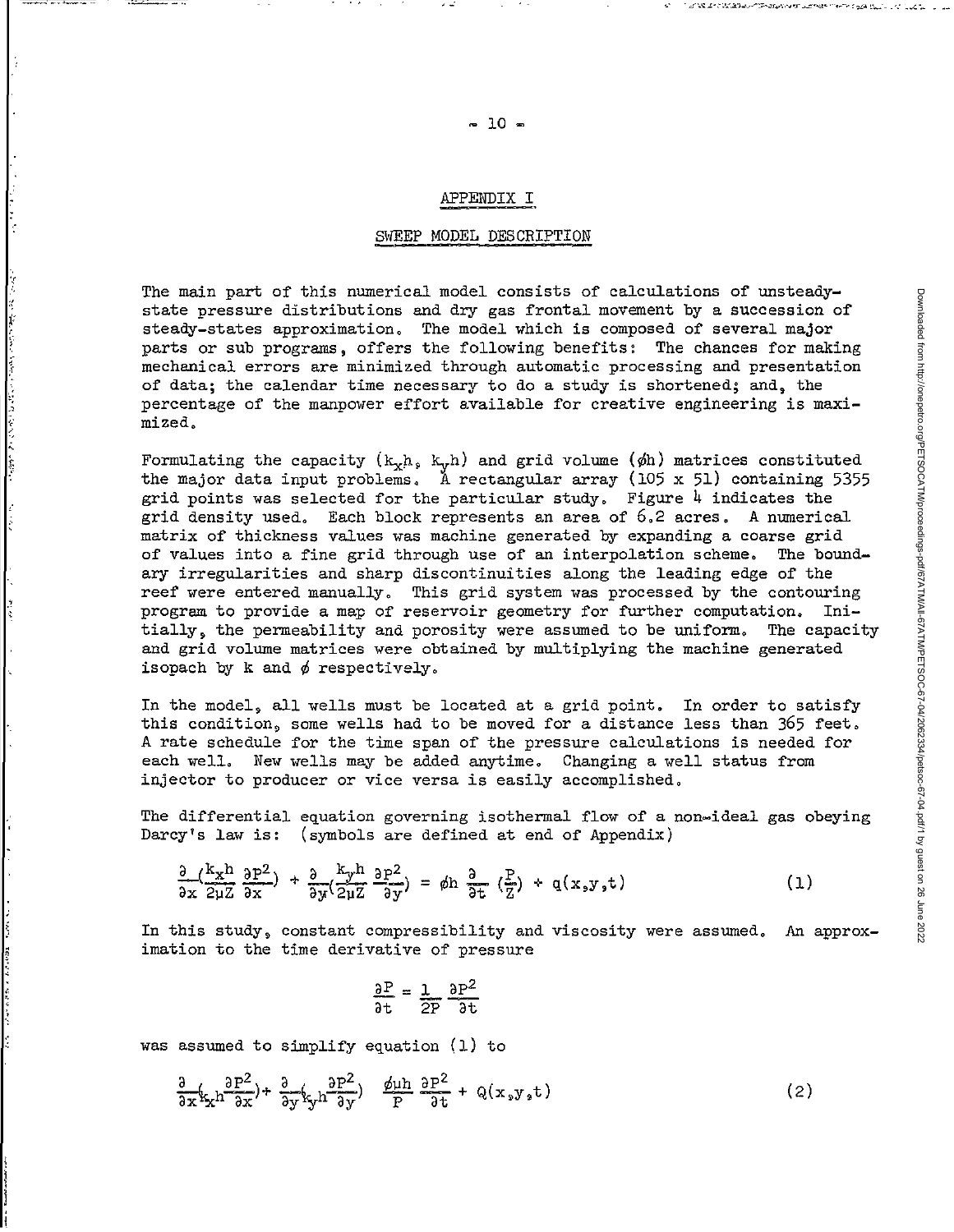# APPENDIX I

#### *SVlEEP* MODEL DESCRIPTION

The main part of this numerical model consists of calculations of unsteadystate pressure distributions and dry gas frontal movement by a succession of steady-states approximation. The model which is composed of several major parts or sub programs, offers the following benefits: The chances for making mechanical errors are minimized through automatic processing and presentation of data; the calendar time necessary to do a study is shortened; and, the percentage of the manpower effort available for creative engineering is maximized.

Formulating the capacity  $(k_xh, k_yh)$  and grid volume ( $\phi h$ ) matrices constituted the major data input problems. A rectangular array (105 x 51) containing 5355 grid points was selected for the particular study. Figure  $4$  indicates the grid density used. Each block represents an area of 6.2 acres. A numerical matrix of thickness values was machine generated by expanding a COarse grid of values into a fine grid through use of an interpolation scheme. The boundary irregularities and sharp discontinuities along the leading edge of the reef were entered manually. This grid system was processed by the contouring program to provide a map of reservoir geometry for further computation. Ini-<br>tially, the permeability and porosity were assumed to be uniform. The capacity tially, the permeability and porosity were assumed to be uniform. and grid volume matrices were obtained by multiplying the machine generated isopach by  $k$  and  $\phi$  respectively.

In the model, all wells must be located at a grid point. In order to satisfy this condition, some wells had to be moved for a distance less than 365 feet. A rate schedule for the time span of the pressure calculations is needed for each well. New wells may be added anytime. Changing a well status from injector to producer or vice versa is easily accomplished.

The differential equation governing isothermal flow of a non-ideal gas obeying Darcy's law is: (symbols are defined at end of Appendix)

$$
\frac{\partial}{\partial x} \left( \frac{k_x h}{2 \mu Z} \frac{\partial P^2}{\partial x} \right) \div \frac{\partial}{\partial y} \left( \frac{k_y h}{2 \mu Z} \frac{\partial P^2}{\partial y} \right) = \phi h \frac{\partial}{\partial t} \left( \frac{P}{Z} \right) \div q(x_y y_y t)
$$
 (1)

In this study, constant compressibility and viscosity were assumed. An approximation to the time derivative of pressure

$$
\frac{\partial P}{\partial t} = \frac{1}{2P} \frac{\partial P^2}{\partial t}
$$

was assumed to simplify equation (1) to

.,

.'

$$
\frac{\partial}{\partial x} \left( x_x h \frac{\partial P^2}{\partial x} \right) + \frac{\partial}{\partial y} \left( x_p h \frac{\partial P^2}{\partial y} \right) \frac{\phi \mu h}{P} \frac{\partial P^2}{\partial t} + Q(x_y y_z t)
$$
 (2)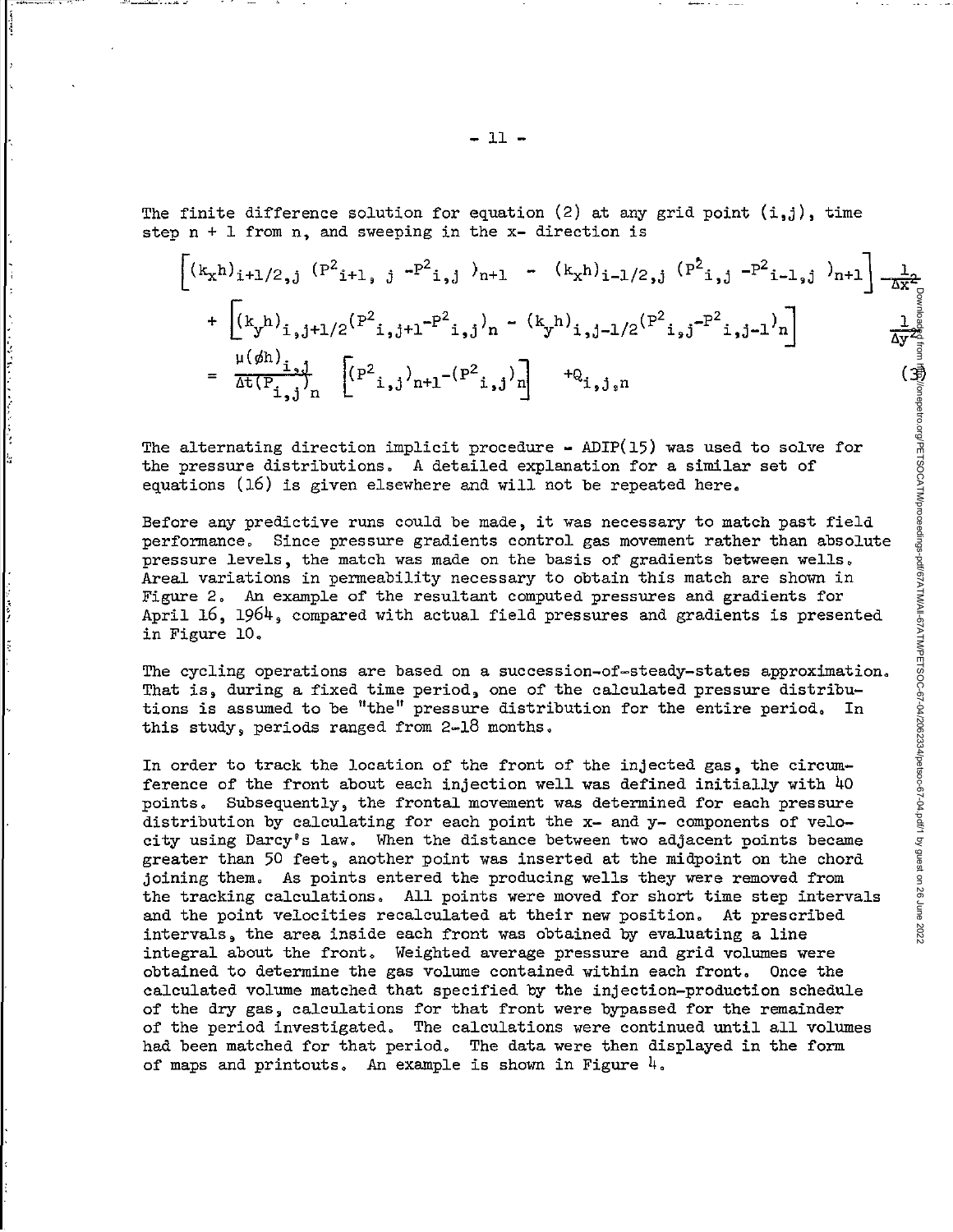The finite difference solution for equation (2) at any grid point  $(i,j)$ , time step n <sup>+</sup> 1 from **n,** and sweeping in the **x-** direction is

 $^{\rm +Q}$ i,j.n  $\frac{1}{\Lambda \mathrm{v}^2}$ Downloaded from http://onepetro.org/PETSOCATM/proceedings-pdf/67ATM/All-67ATM/PETSOC-67-04/2062334/petsoc-67-04.pdf/1 by guest on 26 June 2022

The alternating direction implicit procedure  $-$  ADIP(15) was used to solve the pressure distributions. A detailed explanation for a similar set of equations (16) is given elsewhere and will not be repeated here. for

Before any predictive runs could be made, it was necessary to match past field performance. Since pressure gradients control gas movement rather than absolute pressure levels, the match was made on the basis of gradients between wells. Areal variations in permeability necessary to obtain this match are shown in Figure 2. An example of the resultant computed pressures and gradients for April 16, 1964, compared with actual field pressures and gradients is presented in Figure 10.

The cycling operations are based on a succession-of-steady-states approximation. That is, during a fixed time period, one of the calculated pressure distributions is assumed to be "the" pressure distribution for the entire period. In this study, periods ranged from 2-18 months.

In order to track the location of the front of the injected gas, the circumference of the front about each injection well was defined initially with 40 points. Subsequently, the frontal movement was determined for each pressure distribution by calculating for each point the **x-** and **y-** components of velocity using Darcy's law. When the distance between two adjacent points became greater than 50 feet, another point was inserted at the midpoint on the chord joining them. As points entered the producing wells they were removed from the tracking calculations. All points were moved for short time step intervals and the point velocities recalculated at their new position. At prescribed intervals, the area inside each front was obtained by evaluating a line integral about the front. Weighted average pressure and grid volumes were obtained to determine the gas volume contained within each front. Once the obtained to determine the gas volume contained within each front. Once the calculated volume matched that specified by the injection-production schedule of the dry gas, calculations for that front were bypassed for the remainder of the period investigated. The calculations were continued until all volumes had been matched for that period. The data were then displayed in the form of maps and printouts. An example is shown in Figure  $4$ .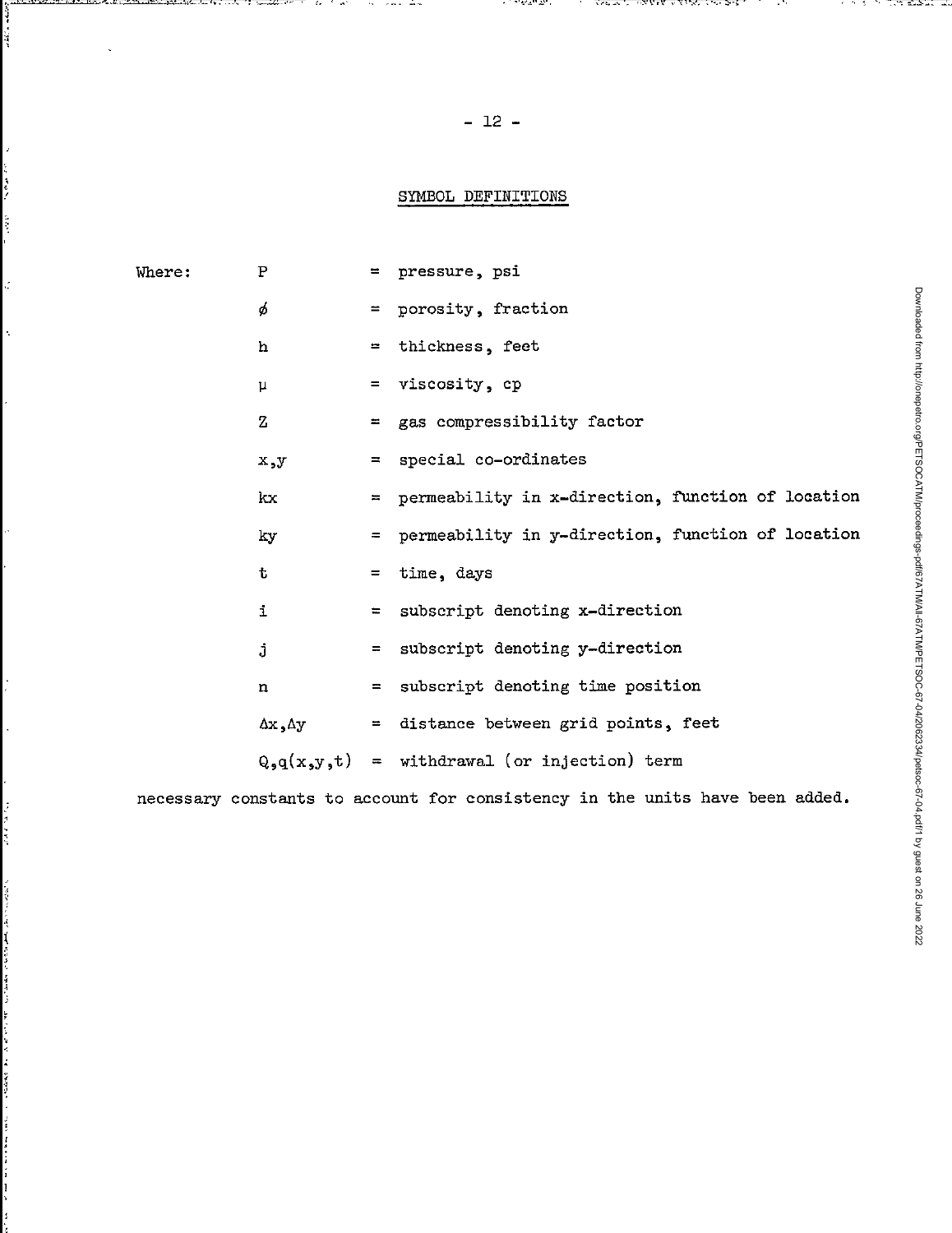# SYMBOL DEFINITIONS

| Where: | P                    | $=$ pressure, psi                                      |
|--------|----------------------|--------------------------------------------------------|
|        | φ                    | = porosity, fraction                                   |
|        | h                    | = thickness, feet                                      |
|        | μ                    | = viscosity, cp                                        |
|        | $Z_{\parallel}$      | $=$ gas compressibility factor                         |
|        | x, y                 | = special co-ordinates                                 |
|        | kx.                  | $=$ permeability in x-direction, function of location  |
|        | ky                   | = permeability in y-direction, function of location    |
|        | t                    | = time, days                                           |
|        | i                    | = subscript denoting x-direction                       |
|        | j                    | = subscript denoting y-direction                       |
|        | $\mathbf n$          | = subscript denoting time position                     |
|        | $\Delta x, \Delta y$ | = distance between grid points, feet                   |
|        |                      | $Q_{\varphi}q(x,y,t)$ = withdrawal (or injection) term |
|        |                      |                                                        |

necessary constants to account for consistency in the units have been added.

1,

 $\frac{1}{1}$ Ĭ.

i<br>V

i.

ć,

in Maria Abri

Article St.

医微流线 医法分裂 不动于杂境的

аN,

х. The State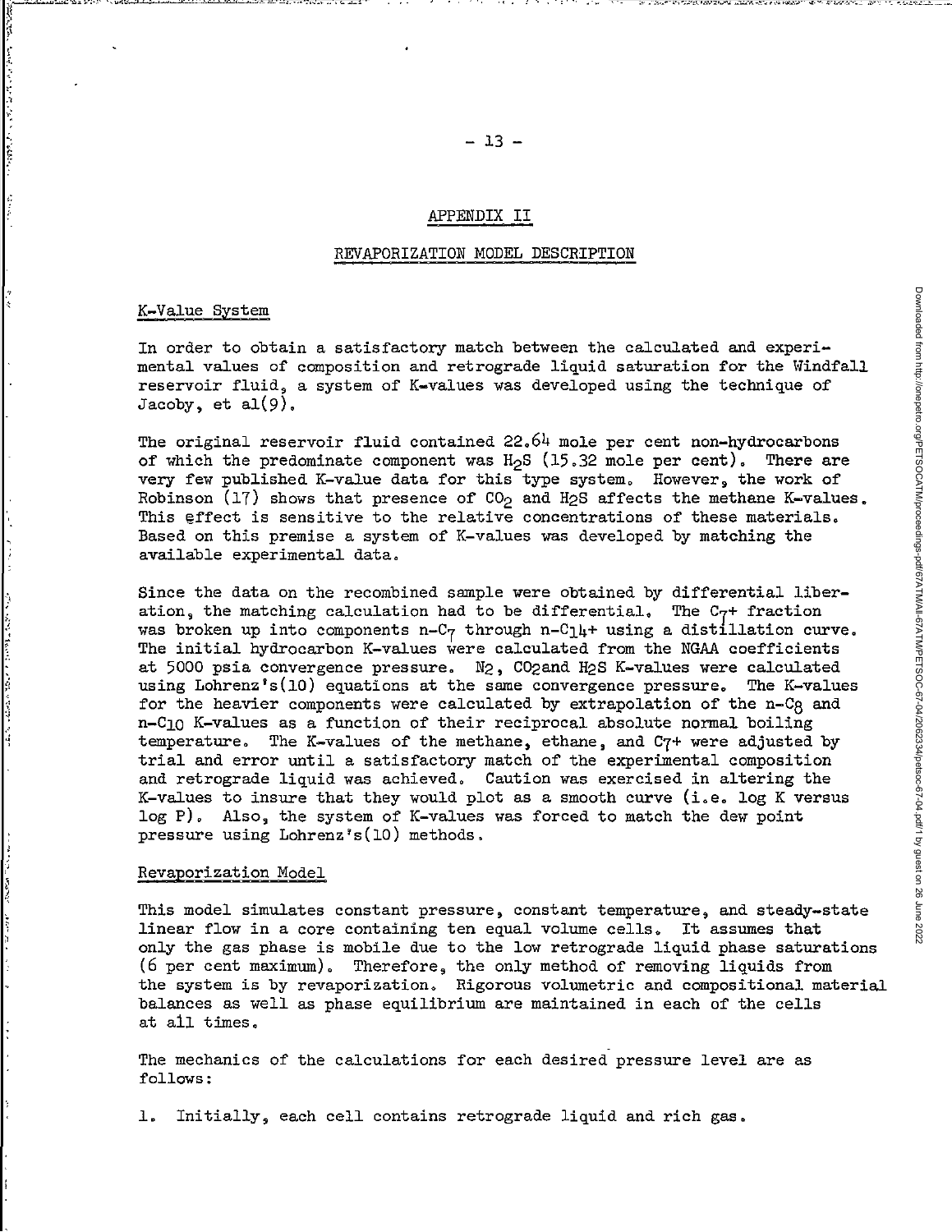# APPENDIX II

#### REVAPORIZATION MODEL DESCRIPTION

#### K-Value System

~r--"':..i.::...';'::..,.,c.,,;.',,-,":·:· "w<~~\_, *•.* ,> 'G"'-

'.**f\**

;, *i*

In order to obtain a satisfactory match between the calculated and experimental values of composition and retrograde liquid saturation for the Windfall reservoir fluid, a system of K-values was developed using the technique of Jacoby, et al(9).

The original reservoir fluid contained  $22.64$  mole per cent non-hydrocarbons of which the predominate component was  $H<sub>2</sub>S$  (15.32 mole per cent). There are very few published K-value data for this type system. However, the work of Robinson (17) shows that presence of  $CO<sub>2</sub>$  and H<sub>2</sub>S affects the methane K-values. This effect is sensitive to the relative concentrations of these materials. Based on this premise a system of K-values was developed by matching the available experimental data.

Since the data on the recombined sample were obtained by differential liberation, the matching calculation had to be differential. The C<sub>7</sub>+ fraction was broken up into components n-C<sub>7</sub> through n-C<sub>1</sub>4+ using a distillation curve. The initial hydrocarbon K-values were calculated from the NGAA coefficients at 5000 psia convergence pressure. N2, C02and H2S K-values were calculated using Lohrenz's(10) equations at the same convergence pressure. The K-values for the heavier components were calculated by extrapolation of the n-C8 and n-CIO K-values as a function of their reciprocal absolute normal boiling temperature. The K-values of the methane, ethane, and C7+ were adjusted by trial and error until <sup>a</sup> satisfactory match of the experimental composition and retrograde liquid was achieved. Caution was exercised in altering the K-values to insure that they would plot as a smooth curve (i.e. log K versus log p). Also, the system of K-values was forced to match the dew point pressure using Lohrenz's(lO) methods.

# Revaporization Model

This model simulates constant pressure, constant temperature, and steady-state linear flow in <sup>a</sup> core containing ten equal volume cells. It assumes that only the gas phase is mobile due to the low retrograde liquid phase saturations (6 per cent maximum). Therefore, the only method of removing liquids from the system is by revaporization. Rigorous volumetric and compositional material balances as well as phase equilibrium are maintained in each of the cells at all times.

The mechanics of the calculations for each desired pressure level are as follows:

1. Initially, each cell contains retrograde liquid and rich gas.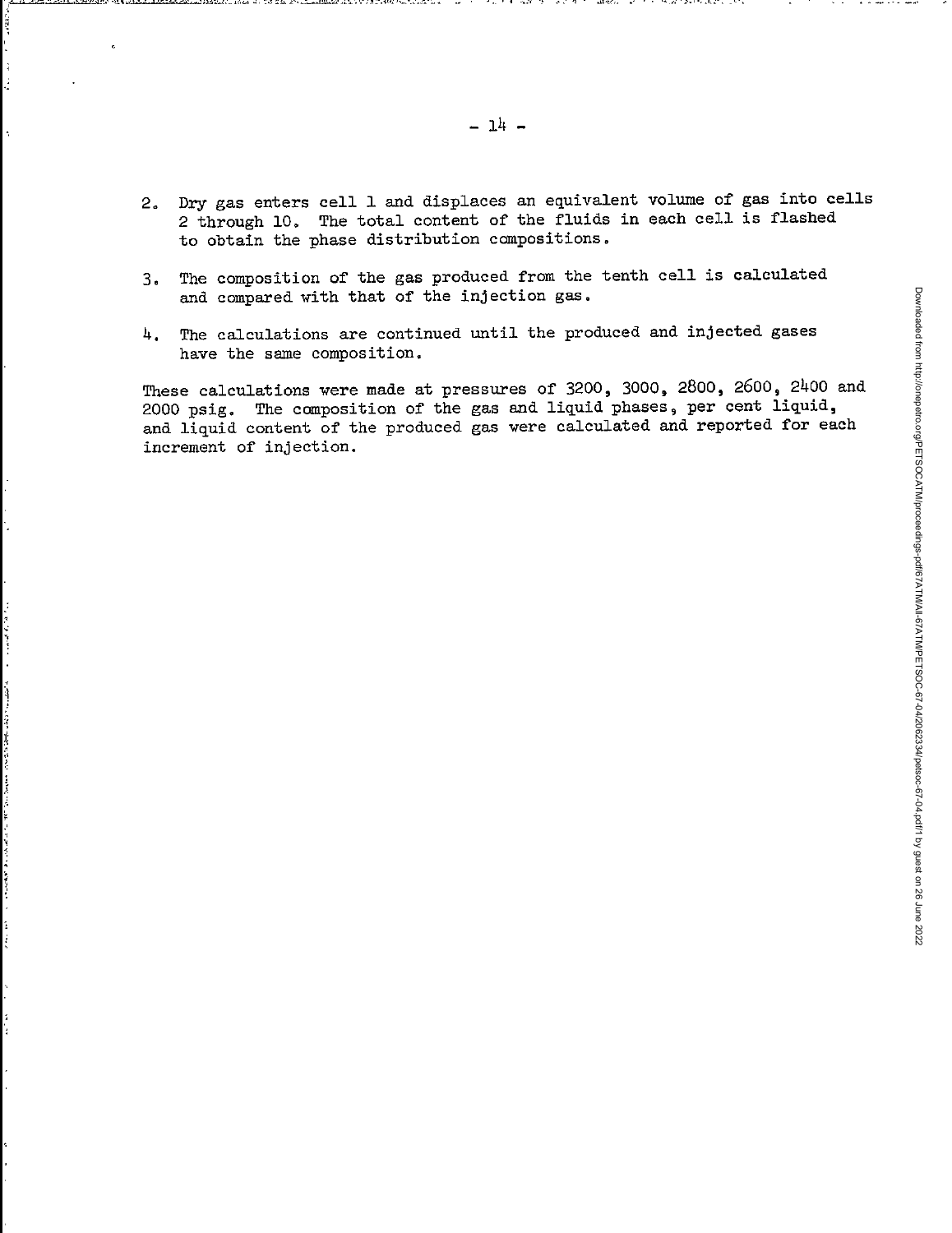- <sup>20</sup> Dry gas enters cell <sup>1</sup> and displaces an equivalent volume **of** gas into cells 2 through 10. The total content of the fluids in each cell is flashed to obtain the phase distribution compositions.
- 3. The composition of the gas produced from the tenth cell is calculated and compared with that of the injection gas.
- 4. The calculations are continued until the produced and injected gases have the same composition.

These calculations were made at pressures of 3200, 3000, 2800, 2600, 2400 and 2000 psig. The composition of the gas and liquid phases, per cent liquid, and liquid content **of** the produced gas were calculated and reported for each increment of injection.

~- ... >'~'''u:.'·U~=··~-~·==~';'''''-'\_''·~'''':'''~':''~;-'.L-.~'''''"~''-·\_'.;~C-''''"', *..''.•·\_''--*\_'c. • **•\_**

Ĭ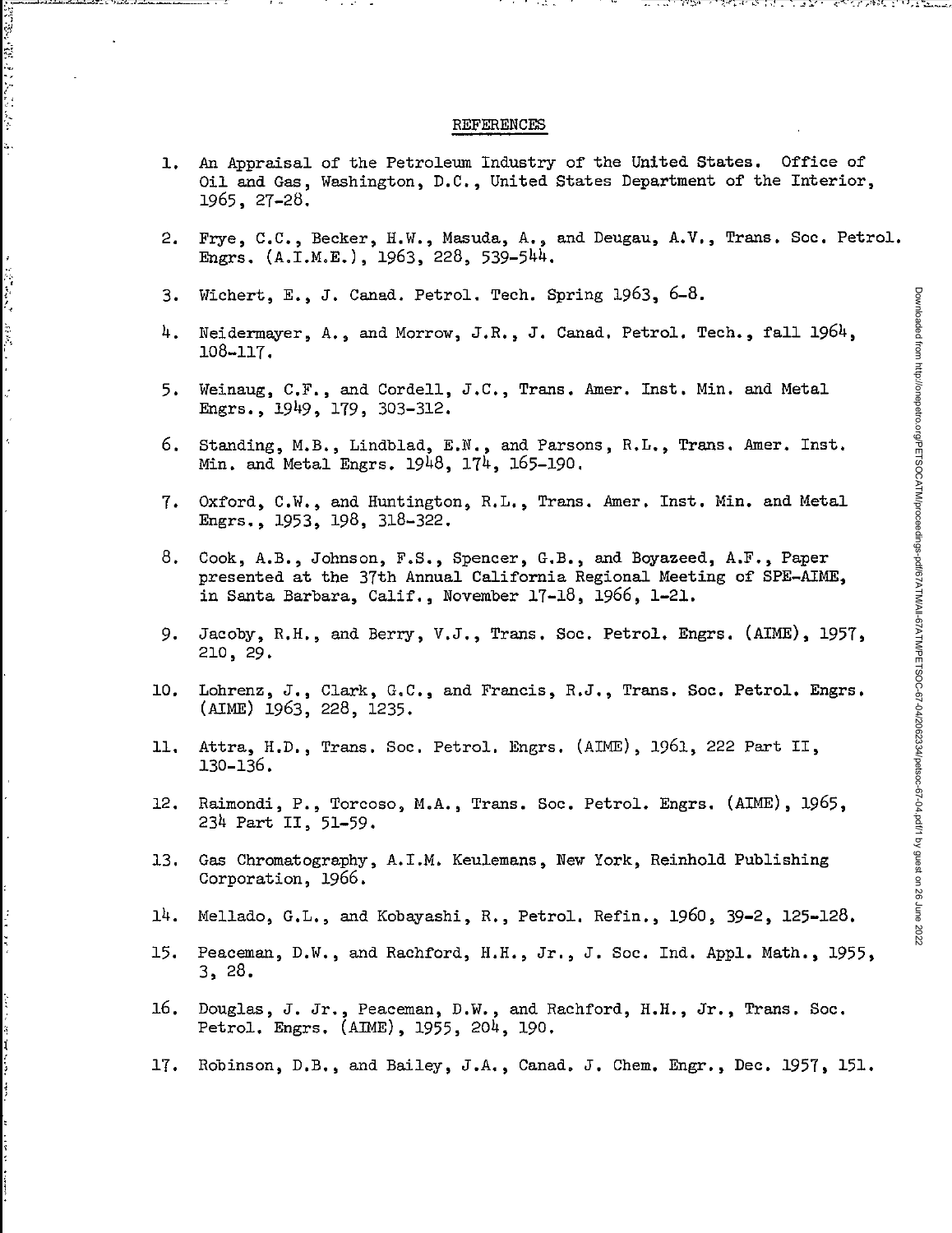#### REFERENCES

- 1. An Appraisal of the Petroleum Industry of the United States. Office of Oil and Gas, Washington, D.C., United States Department of the Interior, 1965, 27-28.
- 2. Frye, C.C., Becker, H.W., Masuda, A., and Deugau, A.V., Trans. Soc. Petrol. Engrs. (A.I.M.E.), 1963, 228, 539-544.
- 3. Wichert, E., J. Canad. Petrol. Tech. Spring 1963, 6-8.

(3)の1854 - 1254 - 2015というという

į.

といいだん

is<br>Di

- 4. Neidermayer, A., and Morrow, J.R., J. Canad. Petrol. Tech., fall 1964, 108-117.
- 5. Weinaug, C.F., and Cordell, J.C., Trans. Amer. Inst. Min. and Metal Engrs., 1949,179,303-312.
- 6. Standing, M.B., Lindblad, E.N., and Parsons, R.L., Trans. Amer. Inst. Min. and Metal Engrs. 1948, 174, 165-190.
- 7. Oxford, C.W., and Huntington, R.L., Trans. Amer. Inst. Min. and Metal Engrs., 1953, 198, 318-322.
- 8. Cook, A.B., Johnson, F.S., Spencer, G.B., and Boyazeed, A.F., Paper presented at the 37th Annual California Regional Meeting of SPE-AIME, in Santa Barbara, Calif., November 17-18,1966,1-21.
- 9. Jacoby, R.H., and Berry, V.J., Trans. Soc. Petrol. Engrs. (AIME), 1957, 210, 29.
- 10. Lohrenz, *J.,* Clark, G.C., and Francis, R.J., Trans. Soc. Petrol. Engrs. (AIME) 1963, 228, 1235.
- 11. Attra, H.D., Trans. Soc. Petrol. Engrs. (AIME) , 1961, <sup>222</sup> Part II, 130-136.
- 12. Raimondi, P., Torcoso, M.A., Trans. Soc. Petrol. Engrs. (AIME) , 1965, 234 Part II, 51-59.
- 13. Gas Chromatography, A.I.M. Keulemans, New York, Reinhold Publishing Corporation, 1966.
- 14. Mel1ado, G.L., and Kobayashi, R., Petrol. Refin., 1960, 39-2, 125-128.
- 15. Peaceman, D.W., and Rachford, H.H., Jr., J. Soc. Ind. Appl. Math., 1955, 3, 28.
- 16. Douglas, J. Jr., Peaceman, D.W., and Rachford, H.H., Jr., Trans. Soc. Petrol. Engrs. (AIME), 1955, 204, 190.
- 17. Robinson, D.B., and Bailey, J.A., Canad. J. Chem. Engr., Dec. 1957, 151.

アーバン しゅくしょく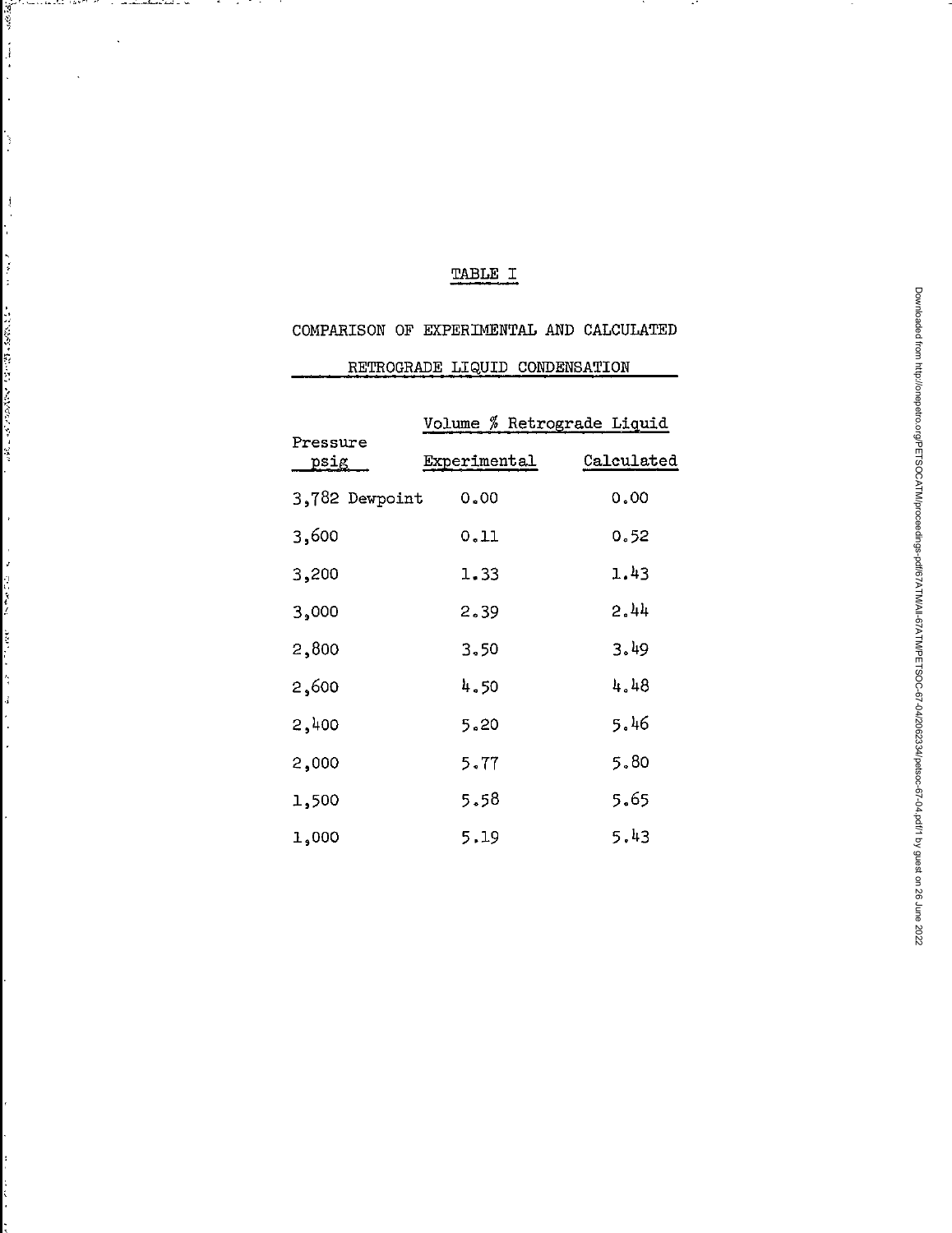# TABLE I

жf,

前到了 十月十一

 $\ddot{\phantom{0}}$ 

 $\begin{array}{c} 1 \\ 1 \\ 2 \end{array}$ 

→ 1947年4月1日 1月1日 1月1日 1月1日 1月1日 1日 1日 1日 1日 1日 1日

しょうせい けいえんそう

 $\mathbf{r}$ 

Ą. j. u sekonde kun 1980. of 1

i a construction del contro

 $\ddot{\phantom{1}}$ 

. .  $\sim$ 

# COMPARISON OF EXPERIMENTAL AND CALCULATED

|                  | Volume % Retrograde Liquid |            |
|------------------|----------------------------|------------|
| Pressure<br>psig | Experimental               | Calculated |
| 3,782 Dewpoint   | 0.00                       | 0.00       |
| 3,600            | 0.11                       | 0.52       |
| 3,200            | 1.33                       | 1.43       |
| 3,000            | 2.39                       | 2.44       |
| 2,800            | 3.50                       | 3.49       |
| 2,600            | 4,50                       | 4.48       |
| 2,400            | 5.20                       | 5.46       |
| 2,000            | 5.77                       | 5.80       |
| 1,500            | 5.58                       | 5.65       |
| 1,000            | 5.19                       | 5.43       |

RETROGRADE LIQUID CONDENSATION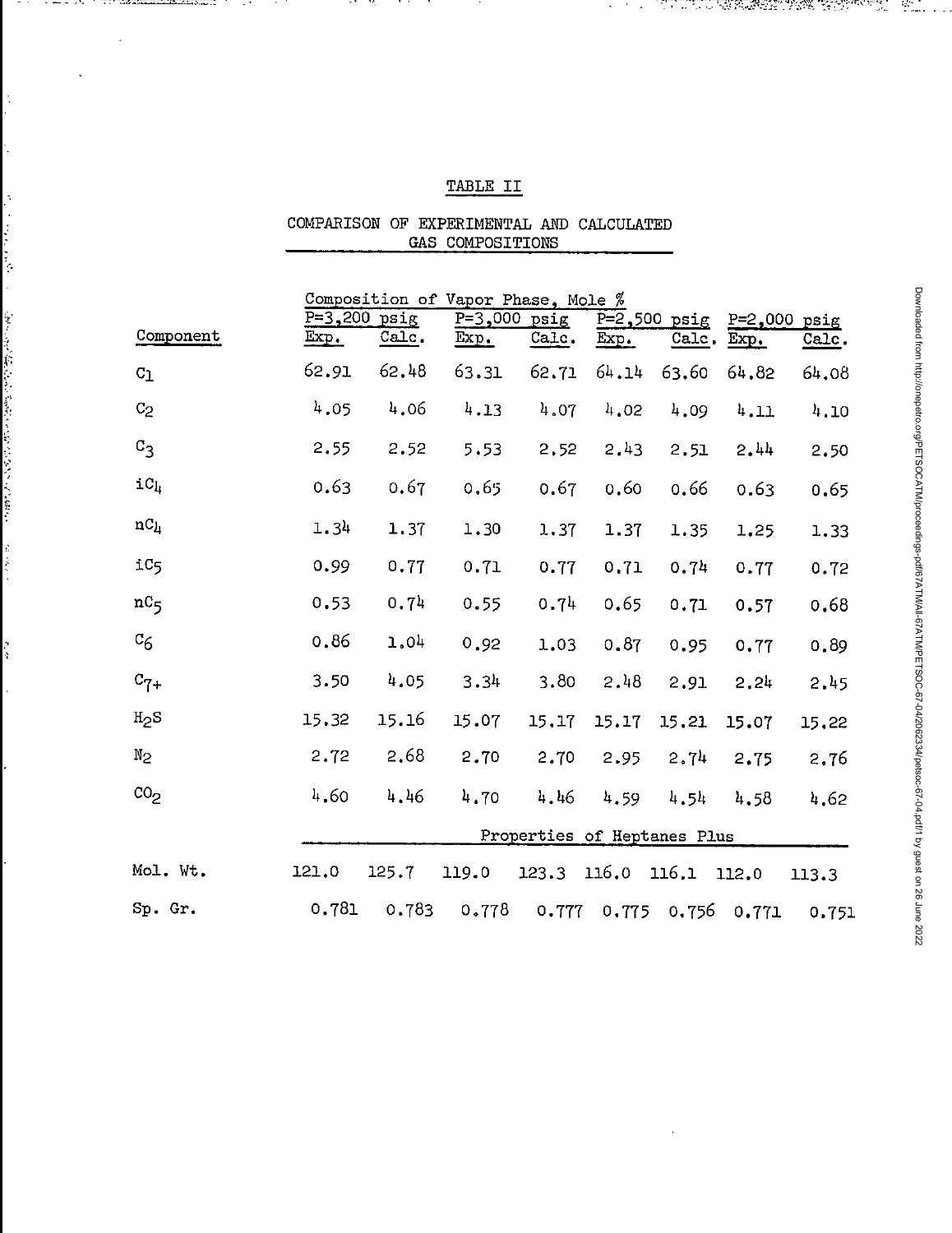# TABLE II

 $\cdot$ 

COLLO ALBERTAR TALLAR

# COMPARISON OF EXPERIMENTAL AND CALCULATED GAS COMPOSITIONS

|   |                   | Composition of Vapor Phase, Mole % |               |                          |                   |       |                              |                        |       |
|---|-------------------|------------------------------------|---------------|--------------------------|-------------------|-------|------------------------------|------------------------|-------|
|   | Component         | $P = 3,200$<br>Exp.                | psig<br>Calc. | $P=3,000$ $psig$<br>Exp. | Calc.             | Exp.  | $P=2,500$ $psig$<br>$Calc$ . | $P=2,000$ psig<br>Exp. | Cale. |
|   | $C_1$             | 62.91                              | 62.48         | 63.31                    | 62.71             | 64.14 | 63.60                        | 64.82                  | 64.08 |
|   | C <sub>2</sub>    | 4.05                               | 4.06          | 4.13                     | 4.07              | 4.02  | 4.09                         | 4.11                   | 4.10  |
|   | c <sub>3</sub>    | 2.55                               | 2.52          | 5.53                     | 2,52              | 2.43  | 2.51                         | 2,44                   | 2,50  |
|   | $iC_{\downarrow}$ | 0.63                               | 0.67          | 0.65                     | 0.67              | 0.60  | 0.66                         | 0.63                   | 0.65  |
|   | nC <sub>4</sub>   | 1.34                               | 1.37          | 1.30                     | 1.37              | 1.37  | 1.35                         | 1.25                   | 1.33  |
|   | iC <sub>5</sub>   | 0.99                               | 0.77          | 0.71                     | 0.77              | 0.71  | 0.74                         | 0.77                   | 0.72  |
|   | nc <sub>5</sub>   | 0.53                               | 0.74          | 0.55                     | 0.74              | 0.65  | 0.71                         | 0.57                   | 0.68  |
| さ | $c_{6}$           | 0.86                               | 1.04          | 0.92                     | 1.03              | 0.87  | 0.95                         | 0.77                   | 0.89  |
|   | $c_{7+}$          | 3.50                               | 4.05          | 3.34                     | 3.80              | 2.48  | 2.91                         | 2,24                   | 2.45  |
|   | H <sub>2</sub> S  | 15.32                              | 15.16         | 15.07                    | 15.17             | 15.17 | 15.21                        | 15.07                  | 15.22 |
|   | N <sub>2</sub>    | 2.72                               | 2.68          | 2,70                     | 2.70              | 2.95  | 2.74                         | 2.75                   | 2.76  |
|   | CO <sub>2</sub>   | 4.60                               | 4.46          | 4.70                     | 4.46              | 4.59  | 4.54                         | 4.58                   | 4.62  |
|   |                   | Properties of Heptanes Plus        |               |                          |                   |       |                              |                        |       |
|   | Mol. Wt.          | 121.0                              | 125.7         | 119.0                    | 123.3 116.0 116.1 |       |                              | 112.0                  | 113.3 |
|   | Sp. Gr.           | 0.781                              | 0.783         | 0.778                    | 0.777             | 0.775 | 0.756                        | 0.771                  | 0.751 |

Ψ.

 $\frac{1}{2}$ 

Ļ,

 $\overline{\phantom{a}}$ 

. . -77.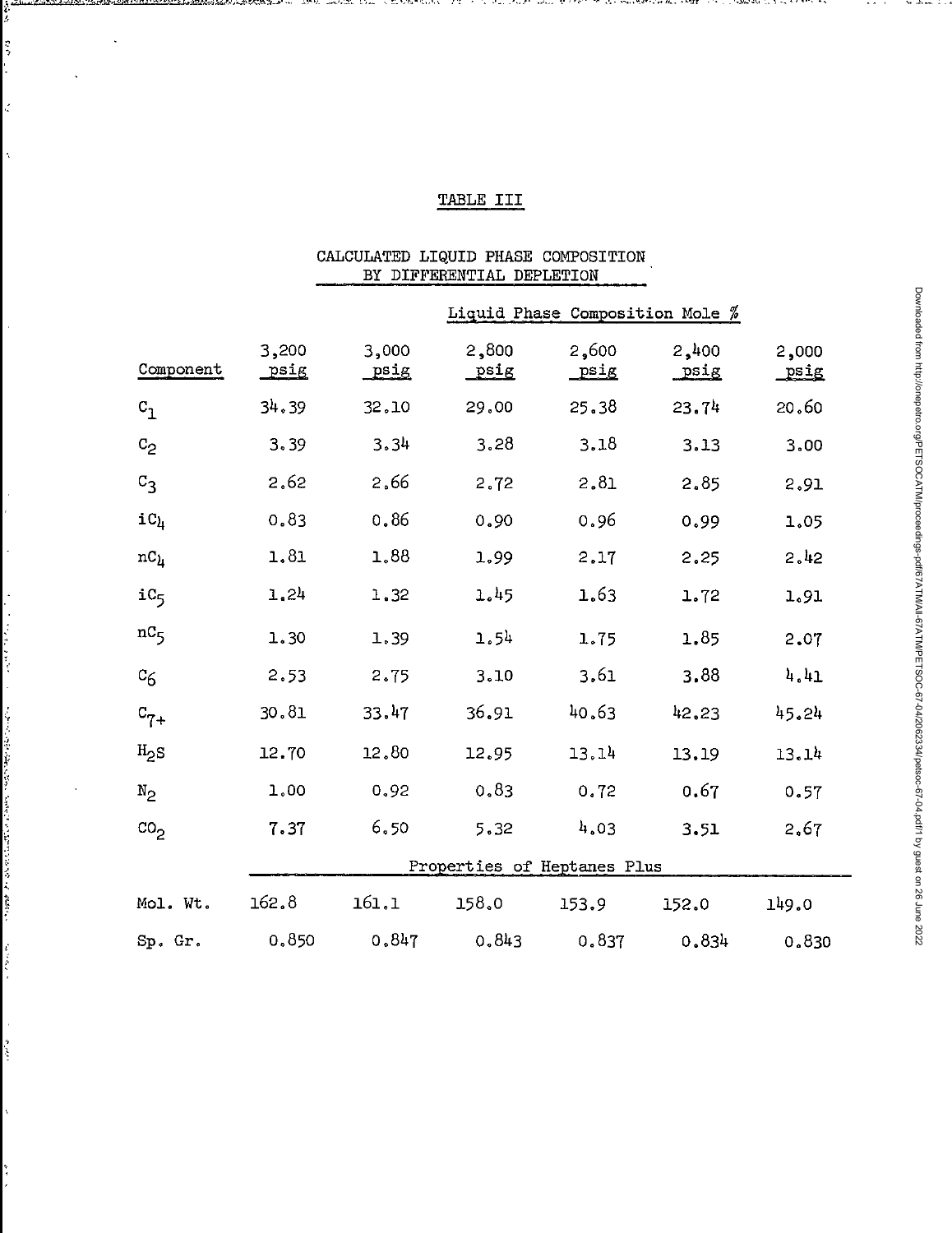# TABLE III

 $\frac{1}{2}$ 

r<br>P  $\overline{a}$ 

ć,

ķ,

 $\begin{array}{c}\n\bullet \\
\bullet \\
\bullet \\
\bullet\n\end{array}$ 

コンピュージングのことがあると思うと、 アクスイバック アルマイコ やくや スカー・ペースをなく とくしょう

Ŷ, 乡屋

# CALCULATED LIQUID PHASE COMPOSITION<br>BY DIFFERENTIAL DEPLETION

|                              |                             |                      |                      | Liquid Phase Composition Mole % |                      |                      |
|------------------------------|-----------------------------|----------------------|----------------------|---------------------------------|----------------------|----------------------|
| Component                    | 3,200<br><u>psig</u>        | 3,000<br><u>psig</u> | 2,800<br><u>psig</u> | 2,600<br><u>psig</u>            | 2,400<br><u>psig</u> | 2,000<br><u>psig</u> |
| $C_1$                        | 34.39                       | 32.10                | 29,00                | 25.38                           | 23.74                | 20.60                |
| c <sub>2</sub>               | 3.39                        | 3.34                 | 3.28                 | 3.18                            | 3.13                 | 3.00                 |
| $C_3$                        | 2.62                        | 2.66                 | 2.72                 | 2.81                            | 2.85                 | 2.91                 |
| $\mathtt{i}\mathtt{C_{l_1}}$ | 0.83                        | 0.86                 | 0.90                 | 0.96                            | 0.99                 | 1.05                 |
| $nc_{\mu}$                   | 1.81                        | 1.88                 | 1.99                 | 2.17                            | 2.25                 | 2,42                 |
| iC <sub>5</sub>              | 1,24                        | 1.32                 | 1.45                 | 1.63                            | 1.72                 | 1.91                 |
| nc <sub>5</sub>              | 1.30                        | 1.39                 | 1.54                 | 1.75                            | 1.85                 | 2.07                 |
| c <sub>6</sub>               | 2.53                        | 2.75                 | 3.10                 | 3.61                            | 3.88                 | 4.41                 |
| $c_{7+}$                     | 30.81                       | 33.47                | 36.91                | 40.63                           | 42.23                | 45.24                |
| $H_{2}S$                     | 12.70                       | 12.80                | 12.95                | 13.14                           | 13.19                | 13.14                |
| $N_2$                        | 1.00                        | 0.92                 | 0.83                 | 0.72                            | 0.67                 | 0.57                 |
| co <sub>2</sub>              | 7.37                        | 6.50                 | 5.32                 | 4.03                            | 3.51                 | 2,67                 |
|                              | Properties of Heptanes Plus |                      |                      |                                 |                      |                      |
| Mol. Wt.                     | 162.8                       | 161.1                | 158.0                | 153.9                           | 152.0                | 149.0                |
| Sp. Gr.                      | 0.850                       | 0.847                | 0.843                | 0.837                           | 0.834                | 0.830                |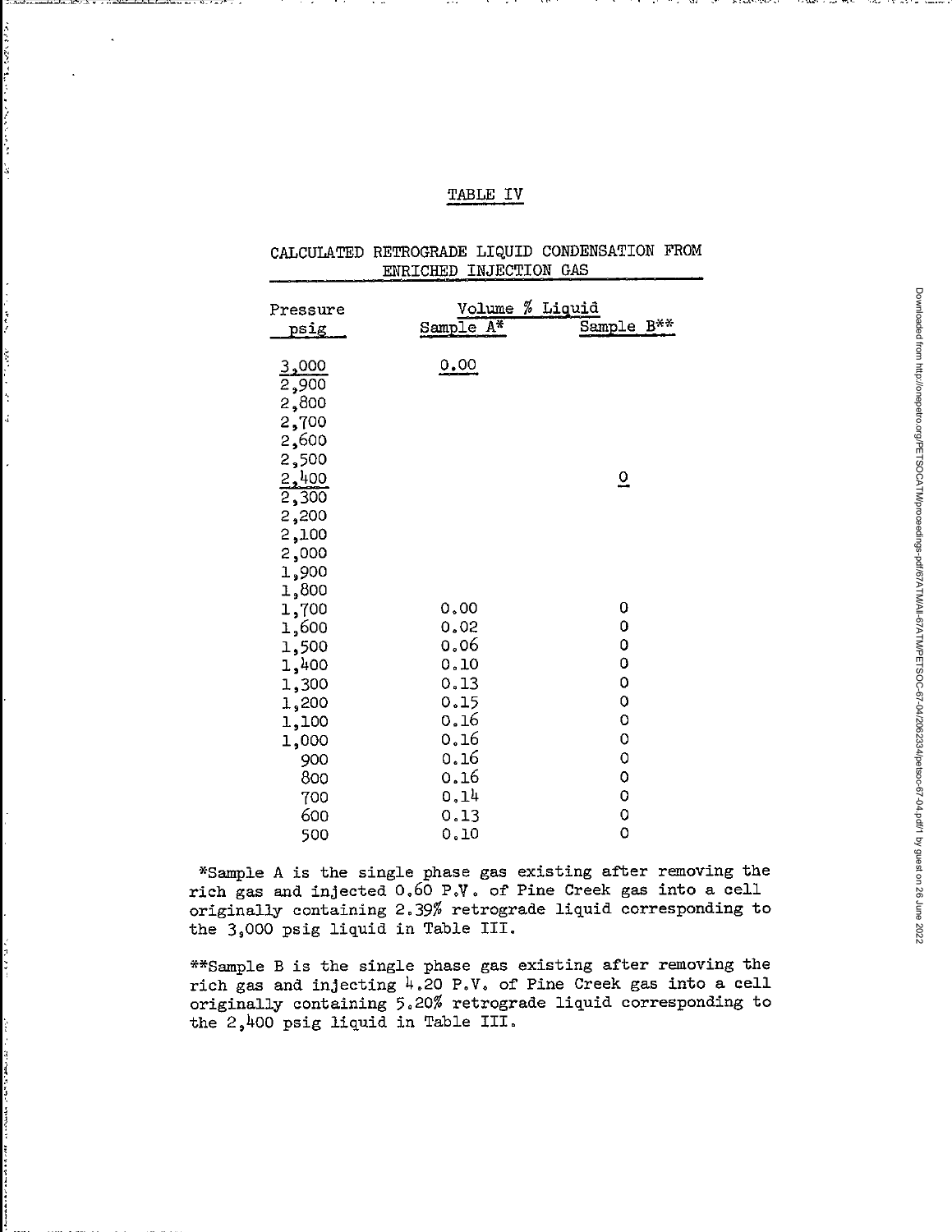# TABLE IV

, ,

!

:.

 $\frac{1}{2}$ 

# CALCULATED RETROGRADE LIQUID CONDENSATION FROM ENRICHED INJECTION GAS

| ちくい       | Pressure<br><u>psig</u> | Volume % Liquid<br>Sample A* | Sample B**          |
|-----------|-------------------------|------------------------------|---------------------|
| Š         | 3,000                   | 0.00                         |                     |
|           | 2,900                   |                              |                     |
| ł.        | 2,800                   |                              |                     |
| Ĵ,        | 2,700                   |                              |                     |
|           | 2,600                   |                              |                     |
| $\bullet$ | 2,500                   |                              |                     |
|           | 2,400                   |                              | $\overline{0}$      |
|           | 2,300                   |                              |                     |
|           | 2,200                   |                              |                     |
|           | 2,100                   |                              |                     |
|           | 2,000                   |                              |                     |
|           | 1,900                   |                              |                     |
|           | 1,800                   |                              |                     |
|           | 1,700                   | 0.00                         | $\pmb{\mathsf{O}}$  |
|           | 1,600                   | 0.02                         | $\mathbf 0$         |
|           | 1,500                   | 0.06                         | $\mathsf{O}\xspace$ |
|           | 1,400                   | 0.10                         | $\mathbf 0$         |
|           | 1,300                   | 0.13                         | $\circ$             |
|           | 1,200                   | 0.15                         | $\circ$             |
|           | 1,100                   | 0.16                         | $\circ$             |
|           | 1,000                   | 0.16                         | $\circ$             |
|           | 900                     | 0.16                         | $\circ$             |
|           | 800                     | 0.16                         | $\circ$             |
|           | 700                     | 0.14                         | $\mathbf 0$         |
|           | 600                     | 0.13                         | $\circ$             |
|           | 500                     | 0.10                         | $\mathbf{o}$        |

\*Sample A is the single phase gas existing after removing the rich gas and injected 0.60 P.V. of Pine Creek gas into a cell originally containing 2.39% retrograde liquid corresponding to the 3,000 psig liquid in Table III.

\*\*Sample B is the single phase gas existing after removing the rich gas and injecting 4.20 P.V. of Pine Creek gas into a cell originally containing 5.20% retrograde liquid corresponding to the 2,400 psig liquid in Table III.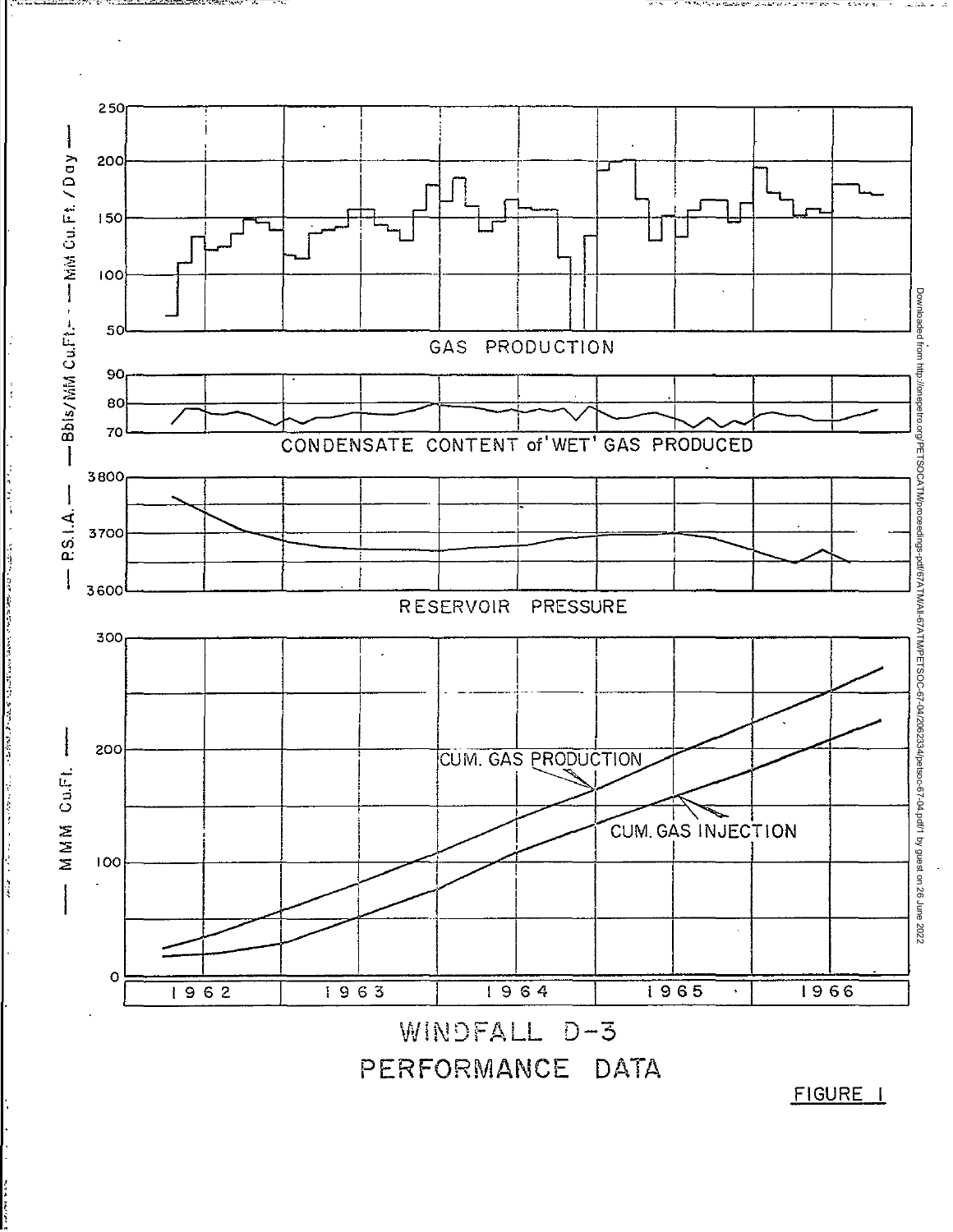

- 71

PERFORMANCE DATA

FIGURE<sub>1</sub>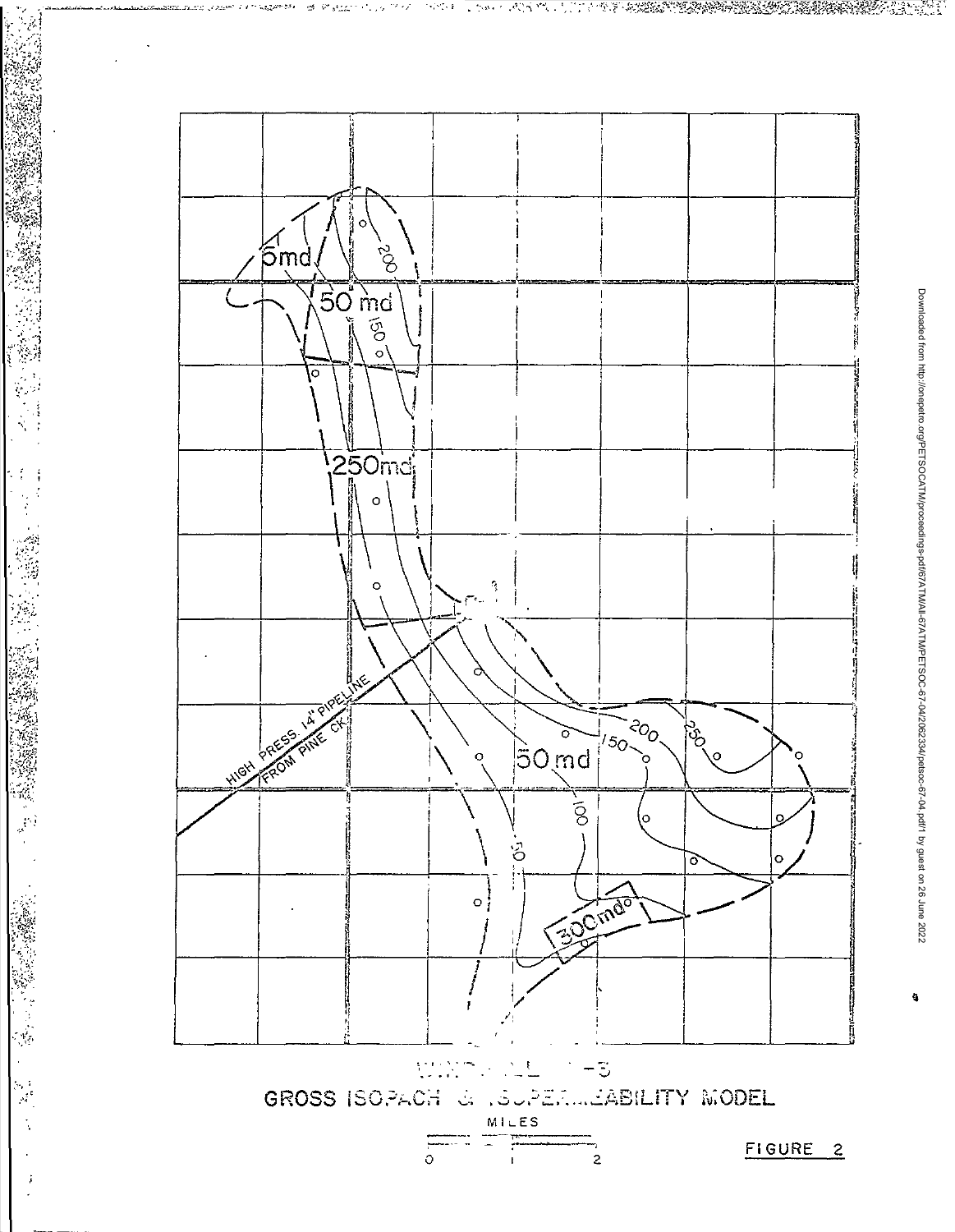

 $\sim 10^{11}$  k  $\rm{K}$ 

46  $\Lambda^2/L$ 

·《疏》 (1)

 $\left| \frac{1}{\sqrt{2}} \right|$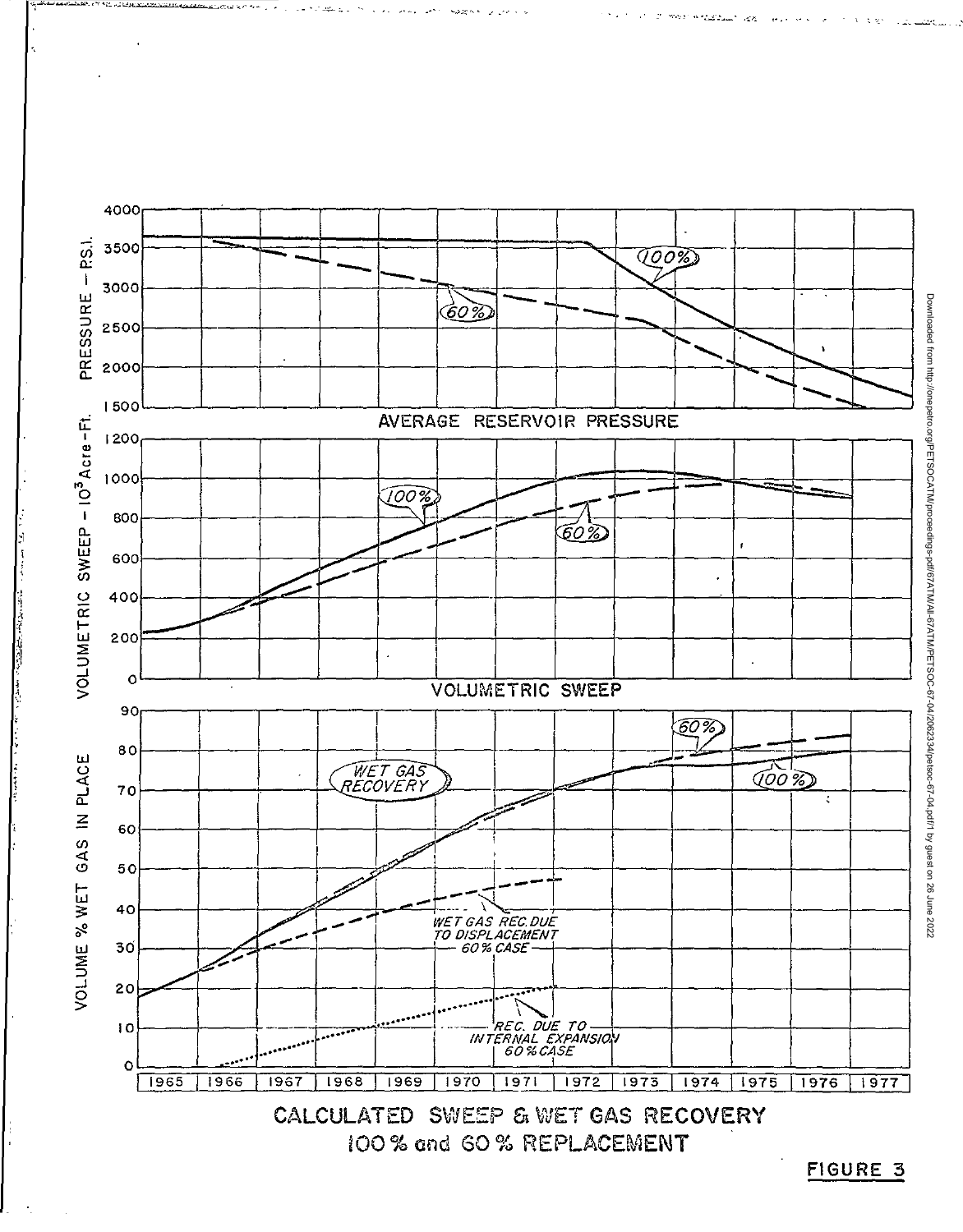FIGURE 3



 $\mathcal{L}^{\mathcal{L}}$ 2. Sept. And Call 1928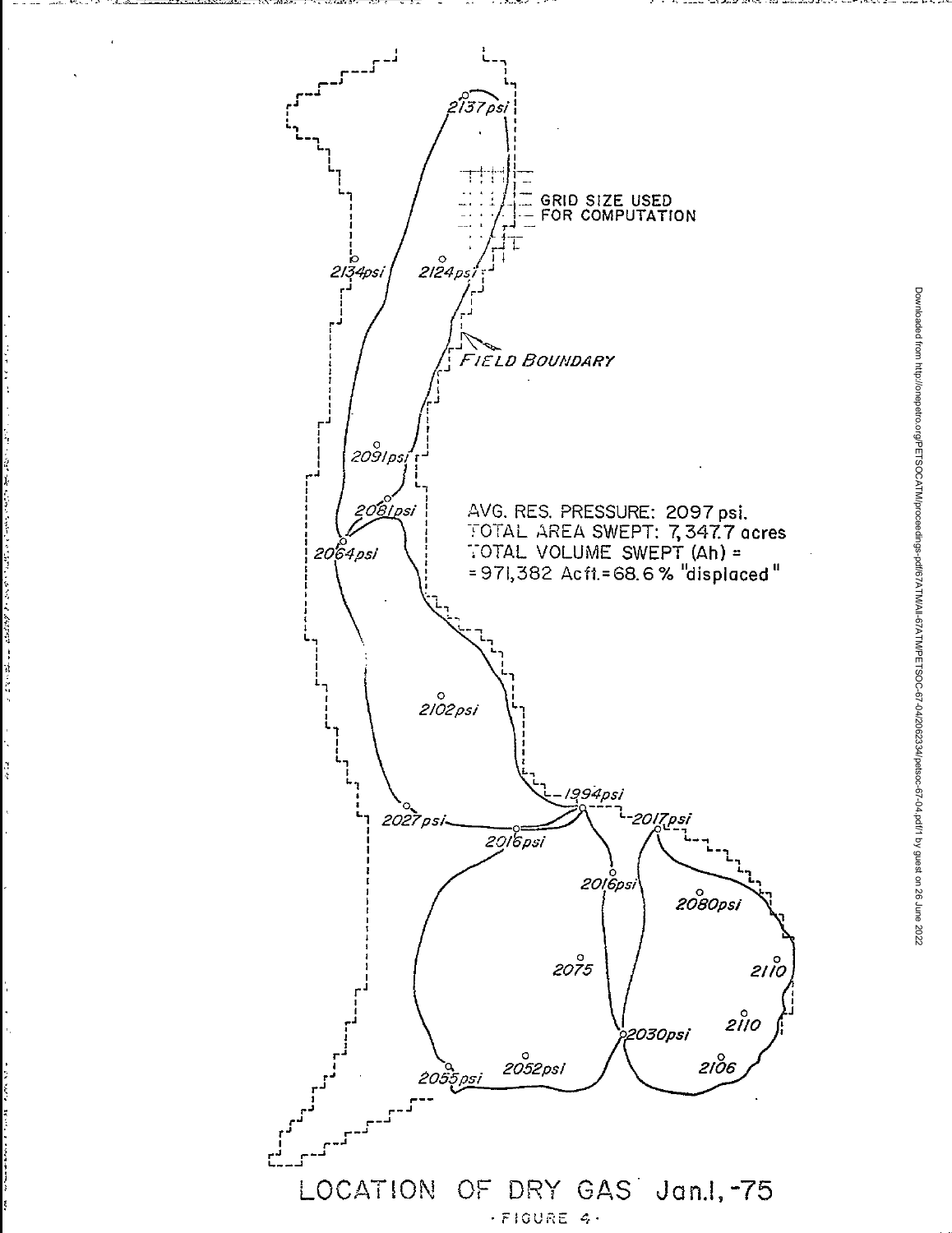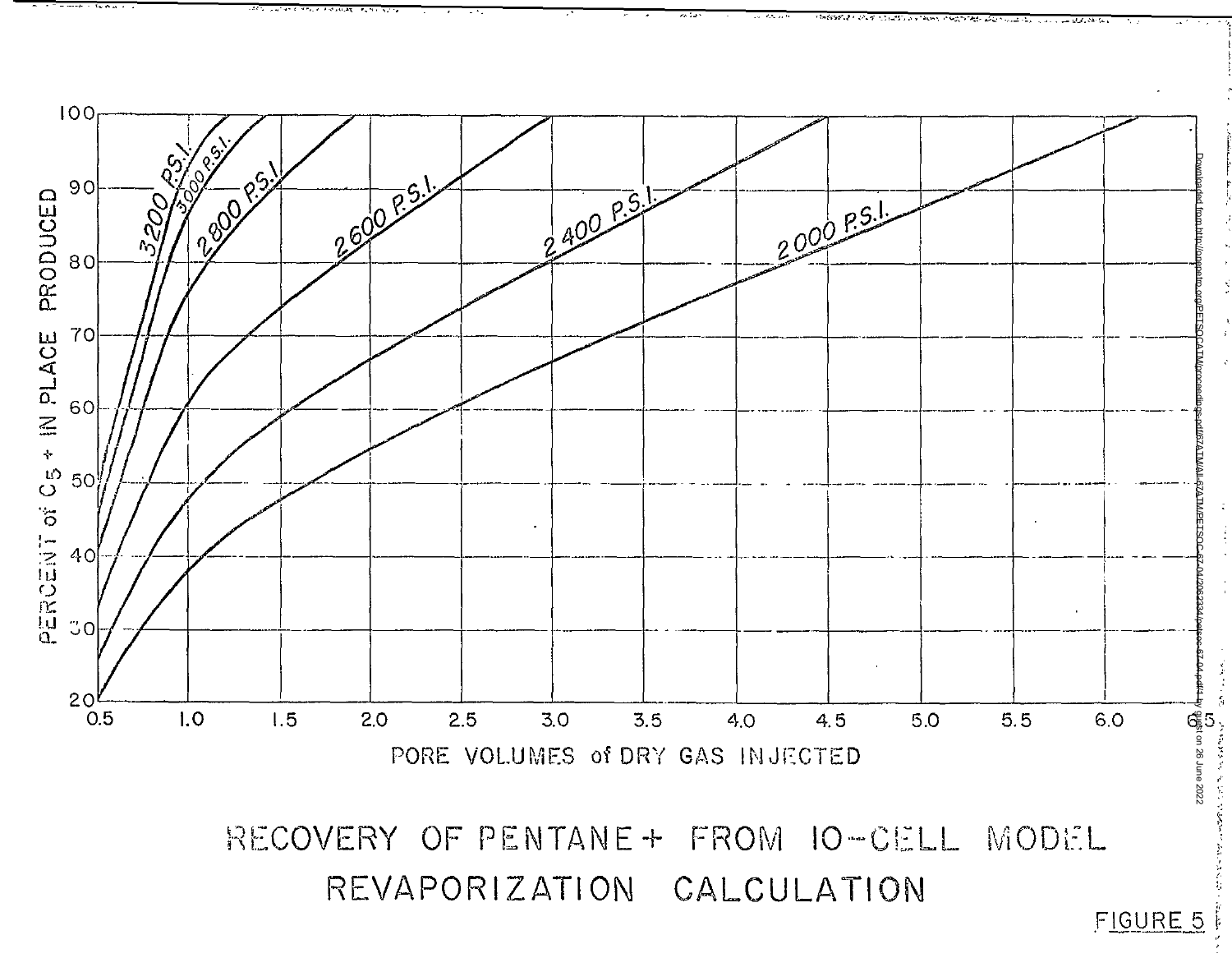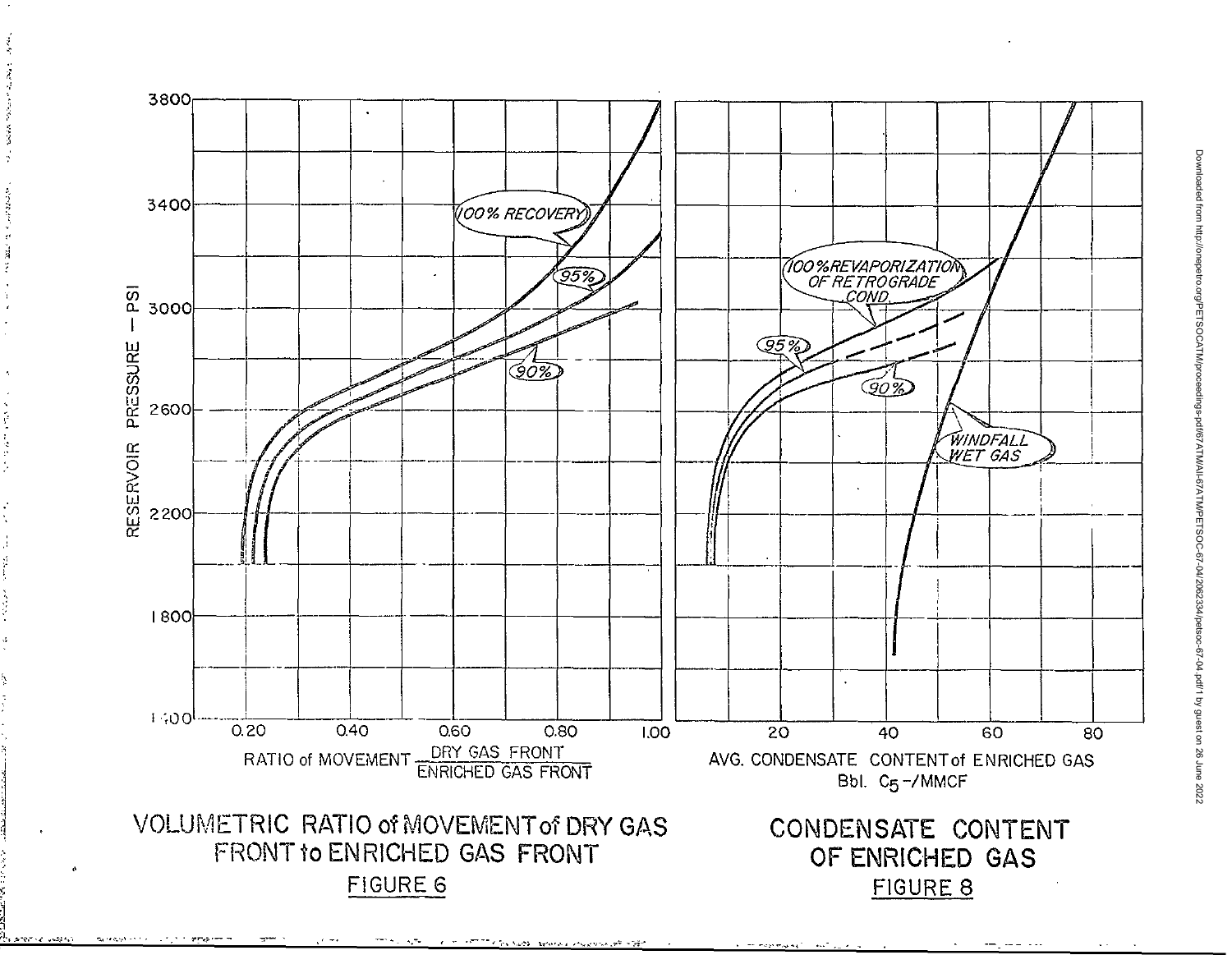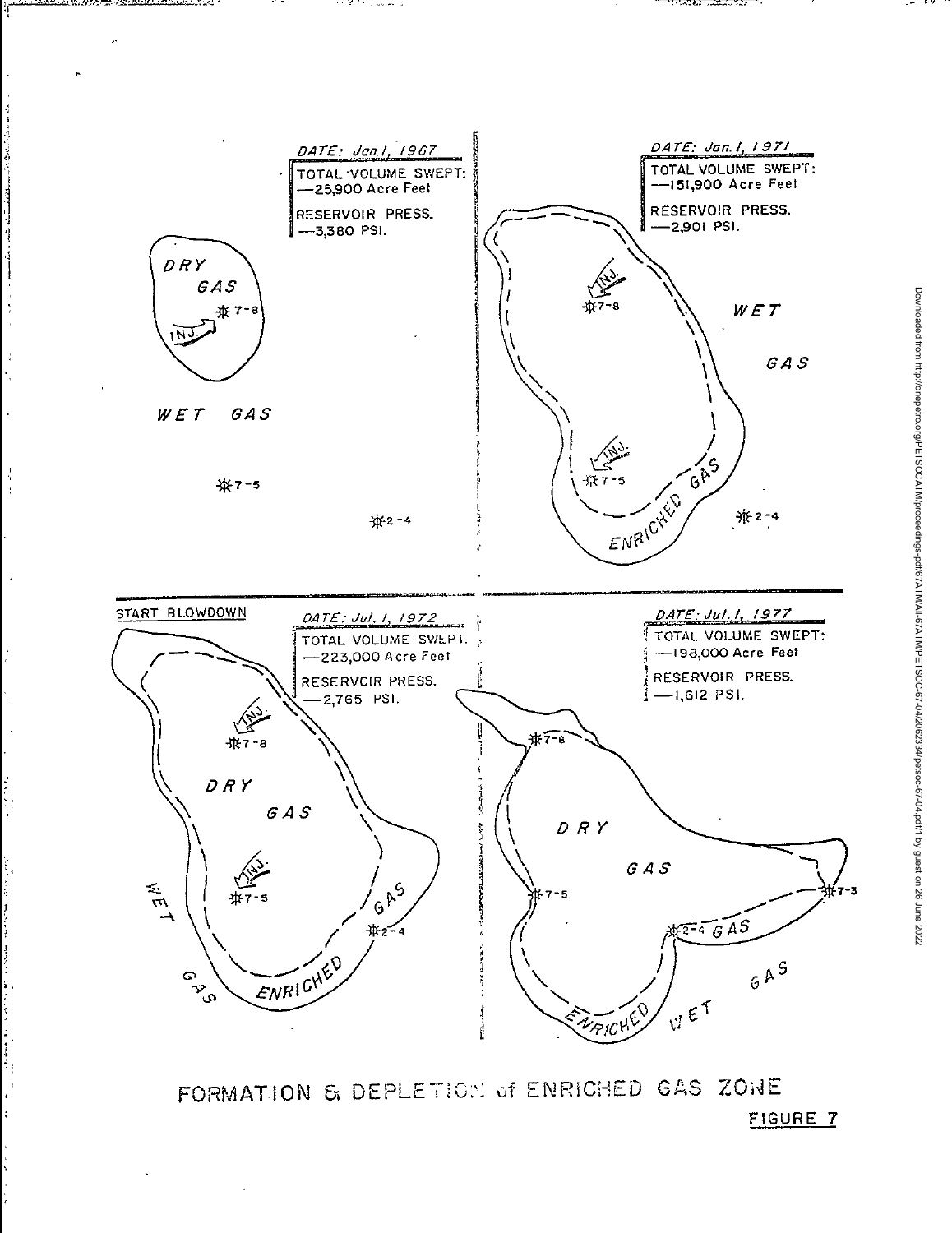

さかる ひっしゅ

~:j" ,-,,,··'··... \;;l,~'Y.;..::r.:'."i..::;;:.o··.·< -~.- .• ",. , \_',:..<.;'

 $\mathbf{I}$ 

 $\begin{bmatrix} 1 \\ 1 \end{bmatrix}$ 

1,.

FORMATION & DEPLETION of ENRICHED GAS ZONE

FIGURE 7

175 Milled States Mar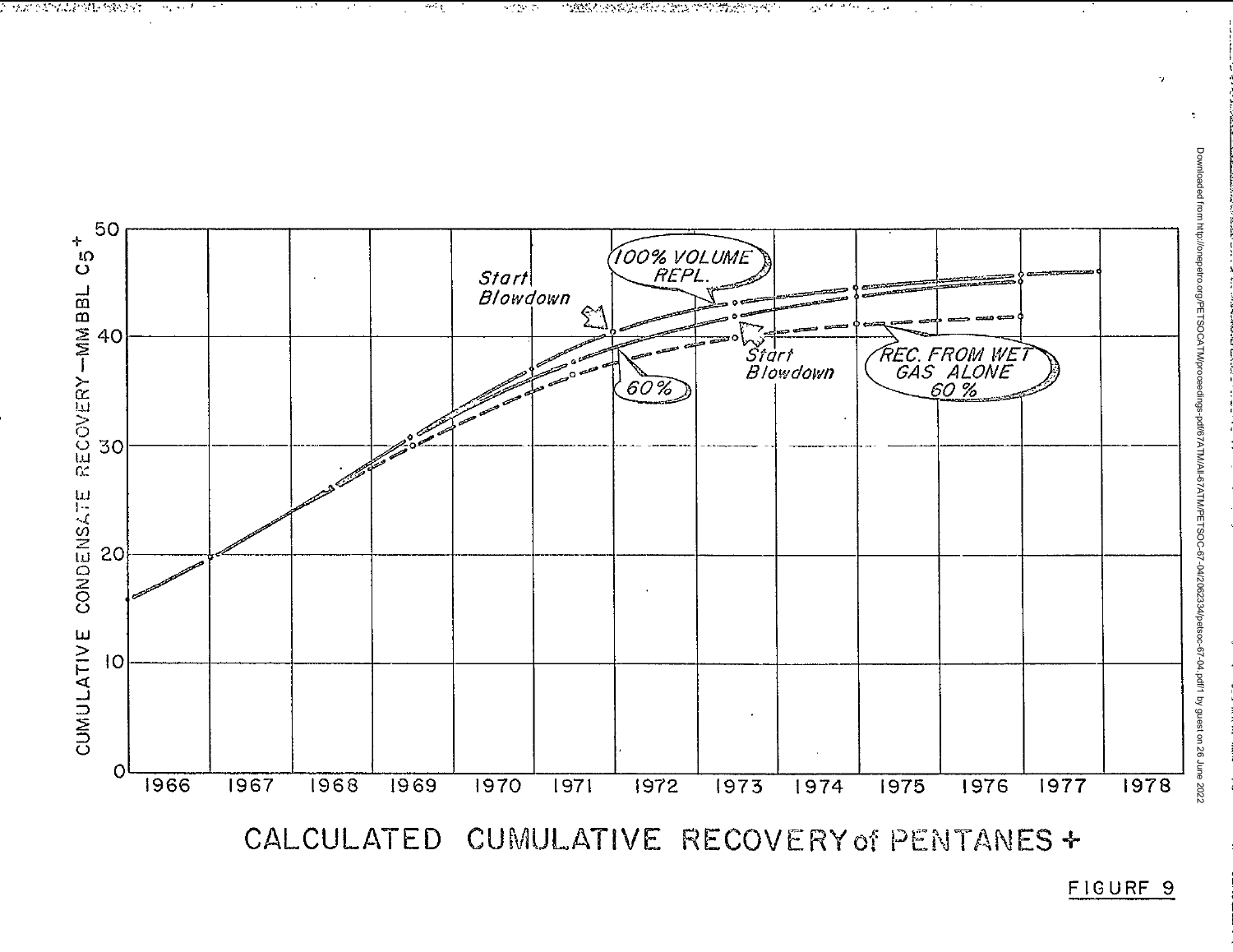FIGURF 9

Downloaded from http://onepetro.org/PETSOCATM/proceedings-pdf67ATM/LF67ATM/PETSOC-67-04/2062334/petsoc-67-04.pdf/1 by guest on 26 June 2022





*CONTRACTMENT SECTIONS* कट ह  $\sim 200$ **このことを受けることが、このことに** ਨਾ<sup>ਜ ਕਾਜ</sup> ਹੋ ਜ  $\mathcal{M}_\mathrm{g}$  , we